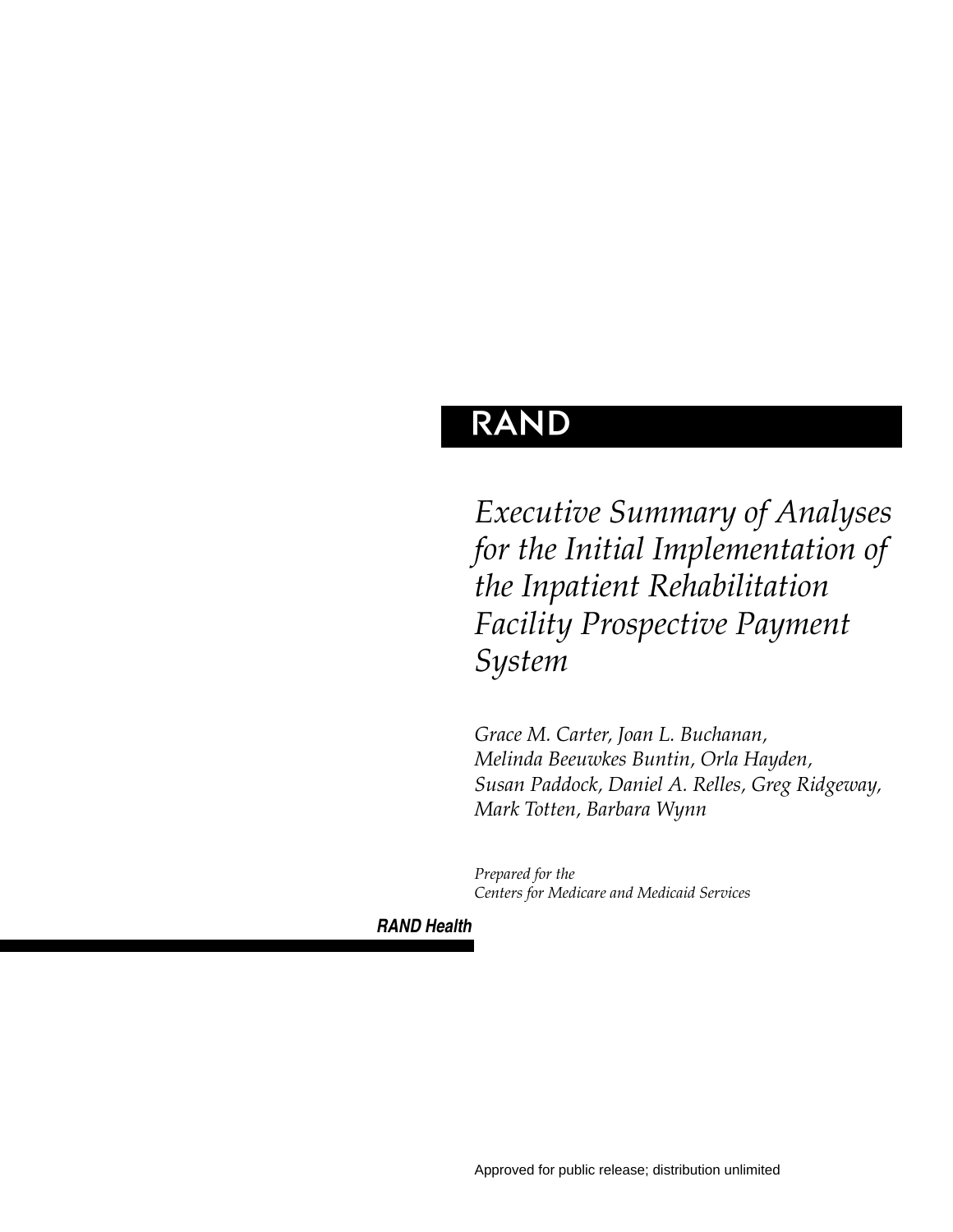# **RAND**

*Executive Summary of Analyses for the Initial Implementation of the Inpatient Rehabilitation Facility Prospective Payment System*

*Grace M. Carter, Joan L. Buchanan, Melinda Beeuwkes Buntin, Orla Hayden, Susan Paddock, Daniel A. Relles, Greg Ridgeway, Mark Totten, Barbara Wynn*

*Prepared for the Centers for Medicare and Medicaid Services*

*RAND Health*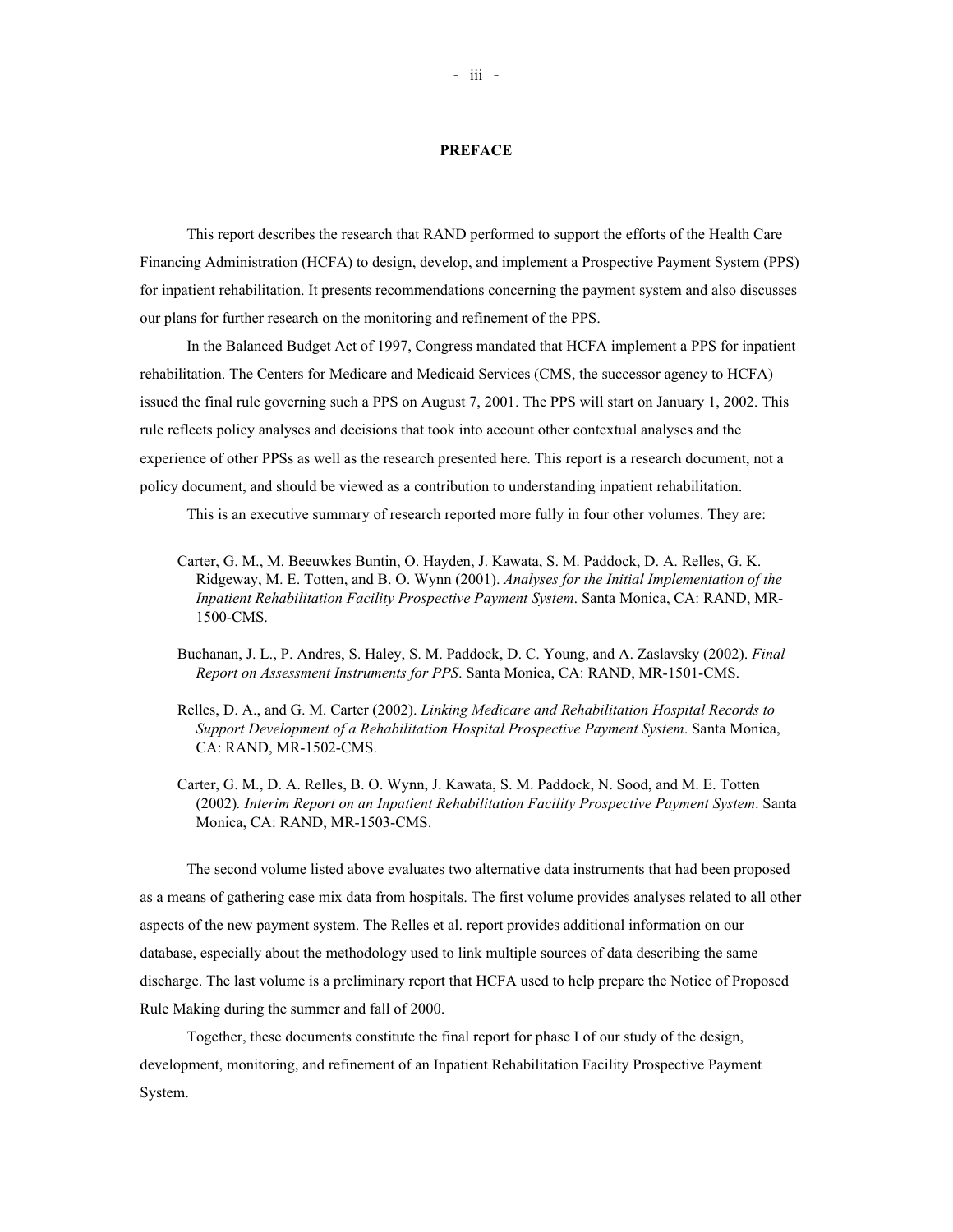#### **PREFACE**

This report describes the research that RAND performed to support the efforts of the Health Care Financing Administration (HCFA) to design, develop, and implement a Prospective Payment System (PPS) for inpatient rehabilitation. It presents recommendations concerning the payment system and also discusses our plans for further research on the monitoring and refinement of the PPS.

In the Balanced Budget Act of 1997, Congress mandated that HCFA implement a PPS for inpatient rehabilitation. The Centers for Medicare and Medicaid Services (CMS, the successor agency to HCFA) issued the final rule governing such a PPS on August 7, 2001. The PPS will start on January 1, 2002. This rule reflects policy analyses and decisions that took into account other contextual analyses and the experience of other PPSs as well as the research presented here. This report is a research document, not a policy document, and should be viewed as a contribution to understanding inpatient rehabilitation.

This is an executive summary of research reported more fully in four other volumes. They are:

- Carter, G. M., M. Beeuwkes Buntin, O. Hayden, J. Kawata, S. M. Paddock, D. A. Relles, G. K. Ridgeway, M. E. Totten, and B. O. Wynn (2001). *Analyses for the Initial Implementation of the Inpatient Rehabilitation Facility Prospective Payment System*. Santa Monica, CA: RAND, MR-1500-CMS.
- Buchanan, J. L., P. Andres, S. Haley, S. M. Paddock, D. C. Young, and A. Zaslavsky (2002). *Final Report on Assessment Instruments for PPS*. Santa Monica, CA: RAND, MR-1501-CMS.
- Relles, D. A., and G. M. Carter (2002). *Linking Medicare and Rehabilitation Hospital Records to Support Development of a Rehabilitation Hospital Prospective Payment System*. Santa Monica, CA: RAND, MR-1502-CMS.
- Carter, G. M., D. A. Relles, B. O. Wynn, J. Kawata, S. M. Paddock, N. Sood, and M. E. Totten (2002)*. Interim Report on an Inpatient Rehabilitation Facility Prospective Payment System*. Santa Monica, CA: RAND, MR-1503-CMS.

The second volume listed above evaluates two alternative data instruments that had been proposed as a means of gathering case mix data from hospitals. The first volume provides analyses related to all other aspects of the new payment system. The Relles et al. report provides additional information on our database, especially about the methodology used to link multiple sources of data describing the same discharge. The last volume is a preliminary report that HCFA used to help prepare the Notice of Proposed Rule Making during the summer and fall of 2000.

Together, these documents constitute the final report for phase I of our study of the design, development, monitoring, and refinement of an Inpatient Rehabilitation Facility Prospective Payment System.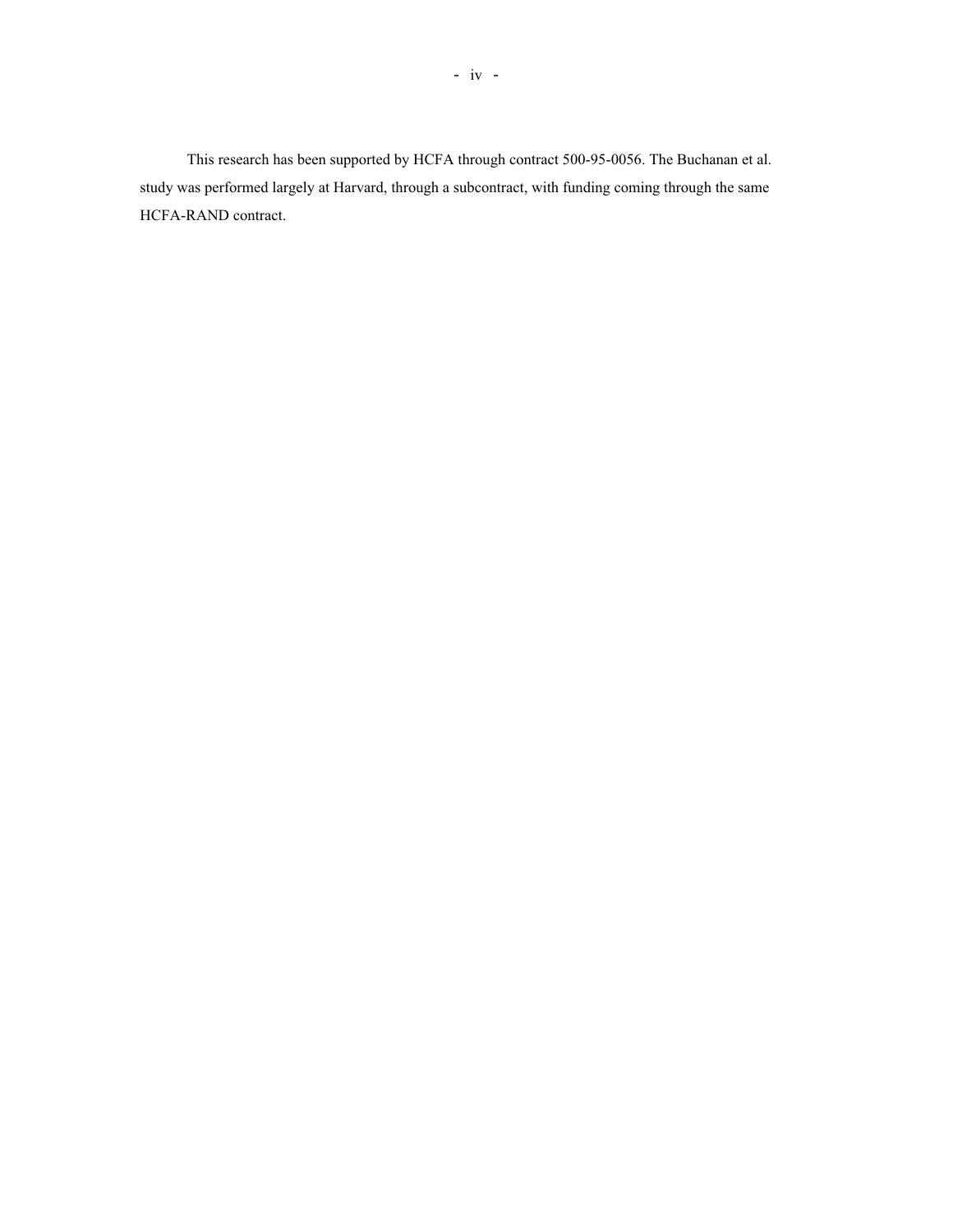This research has been supported by HCFA through contract 500-95-0056. The Buchanan et al. study was performed largely at Harvard, through a subcontract, with funding coming through the same HCFA-RAND contract.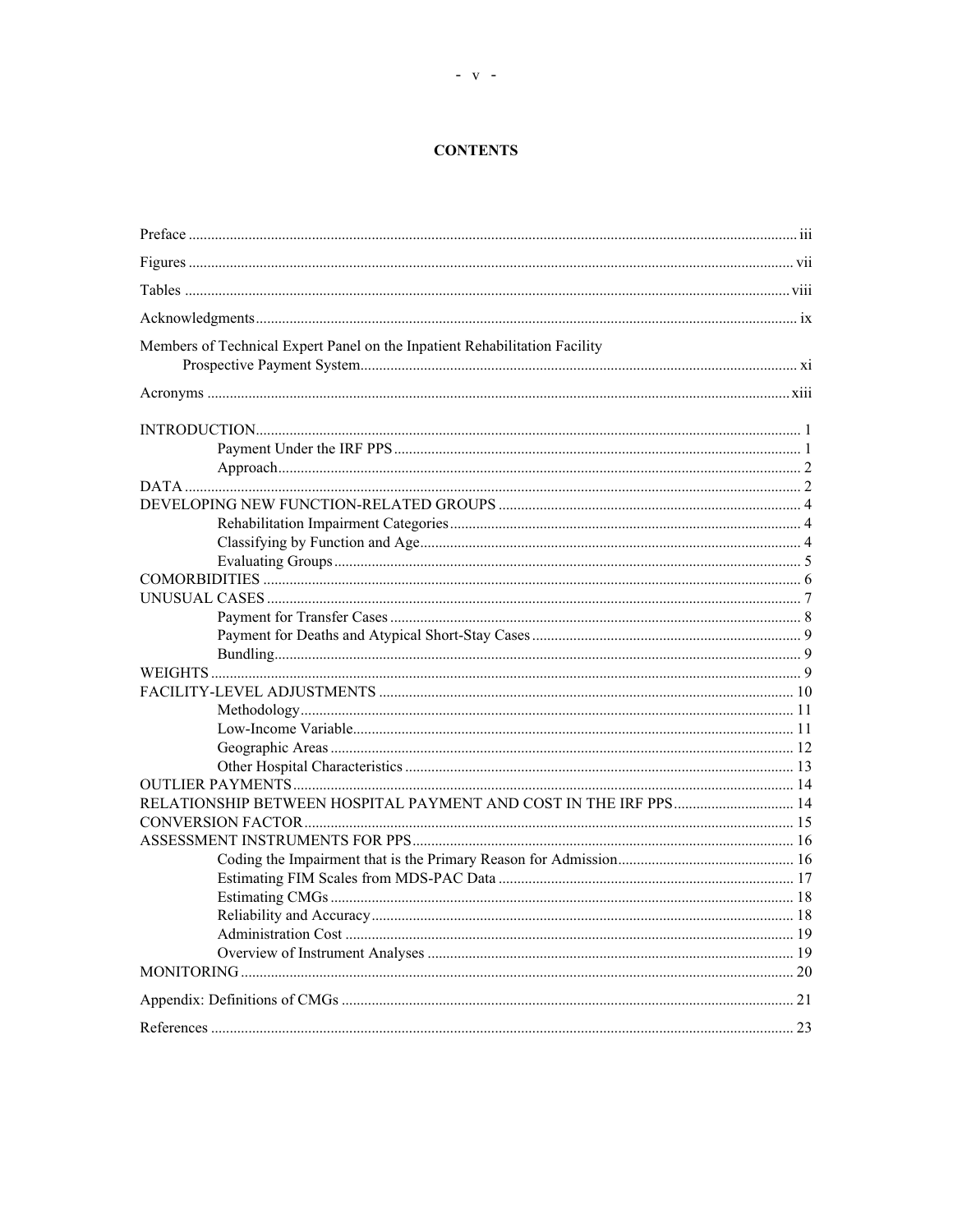# **CONTENTS**

| Members of Technical Expert Panel on the Inpatient Rehabilitation Facility |  |
|----------------------------------------------------------------------------|--|
|                                                                            |  |
|                                                                            |  |
|                                                                            |  |
|                                                                            |  |
|                                                                            |  |
|                                                                            |  |
|                                                                            |  |
|                                                                            |  |
|                                                                            |  |
|                                                                            |  |
|                                                                            |  |
|                                                                            |  |
|                                                                            |  |
|                                                                            |  |
|                                                                            |  |
|                                                                            |  |
|                                                                            |  |
|                                                                            |  |
|                                                                            |  |
|                                                                            |  |
|                                                                            |  |
|                                                                            |  |
|                                                                            |  |
|                                                                            |  |
|                                                                            |  |
|                                                                            |  |
|                                                                            |  |
|                                                                            |  |
|                                                                            |  |
|                                                                            |  |
|                                                                            |  |
|                                                                            |  |
|                                                                            |  |
|                                                                            |  |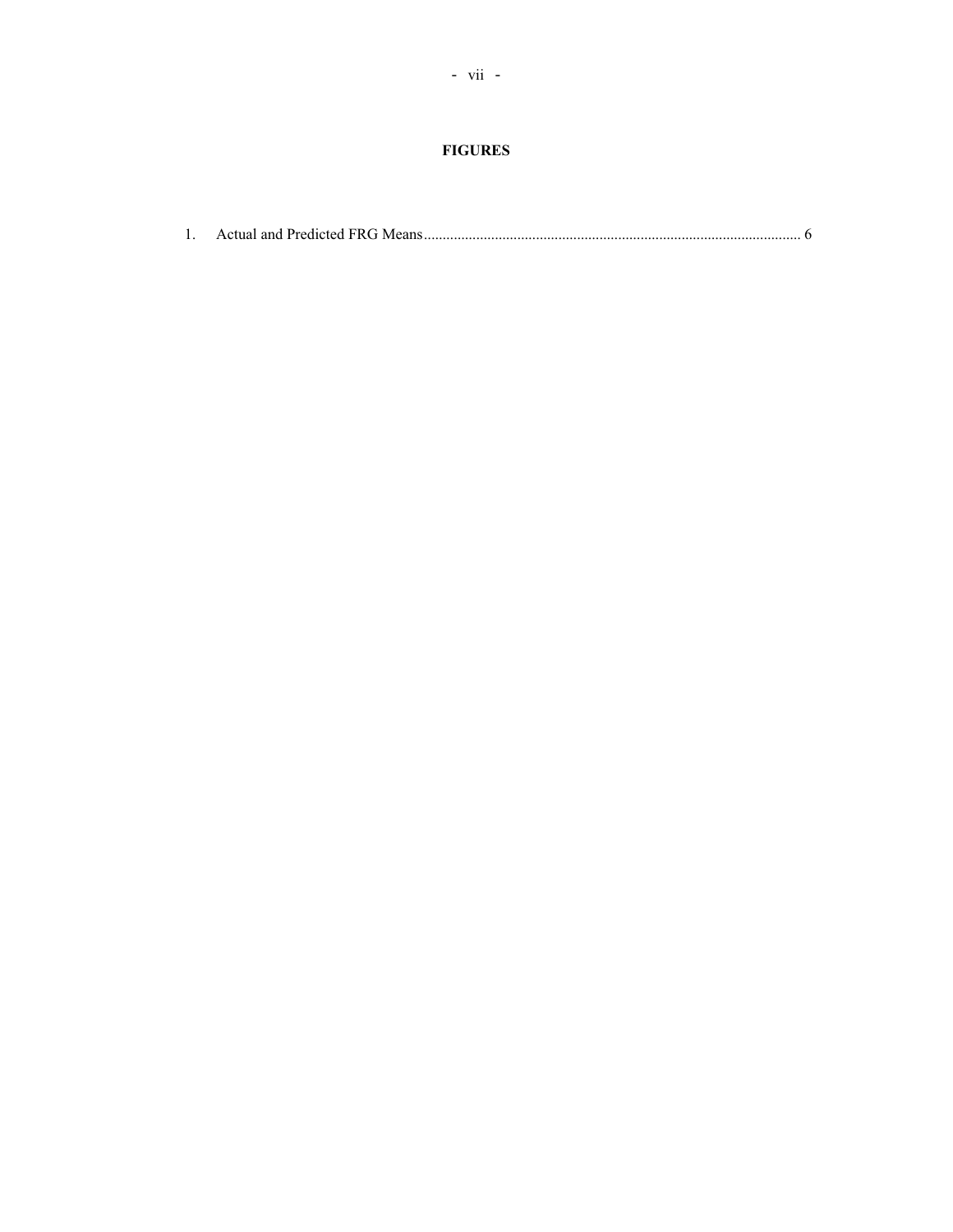# **FIGURES**

|--|--|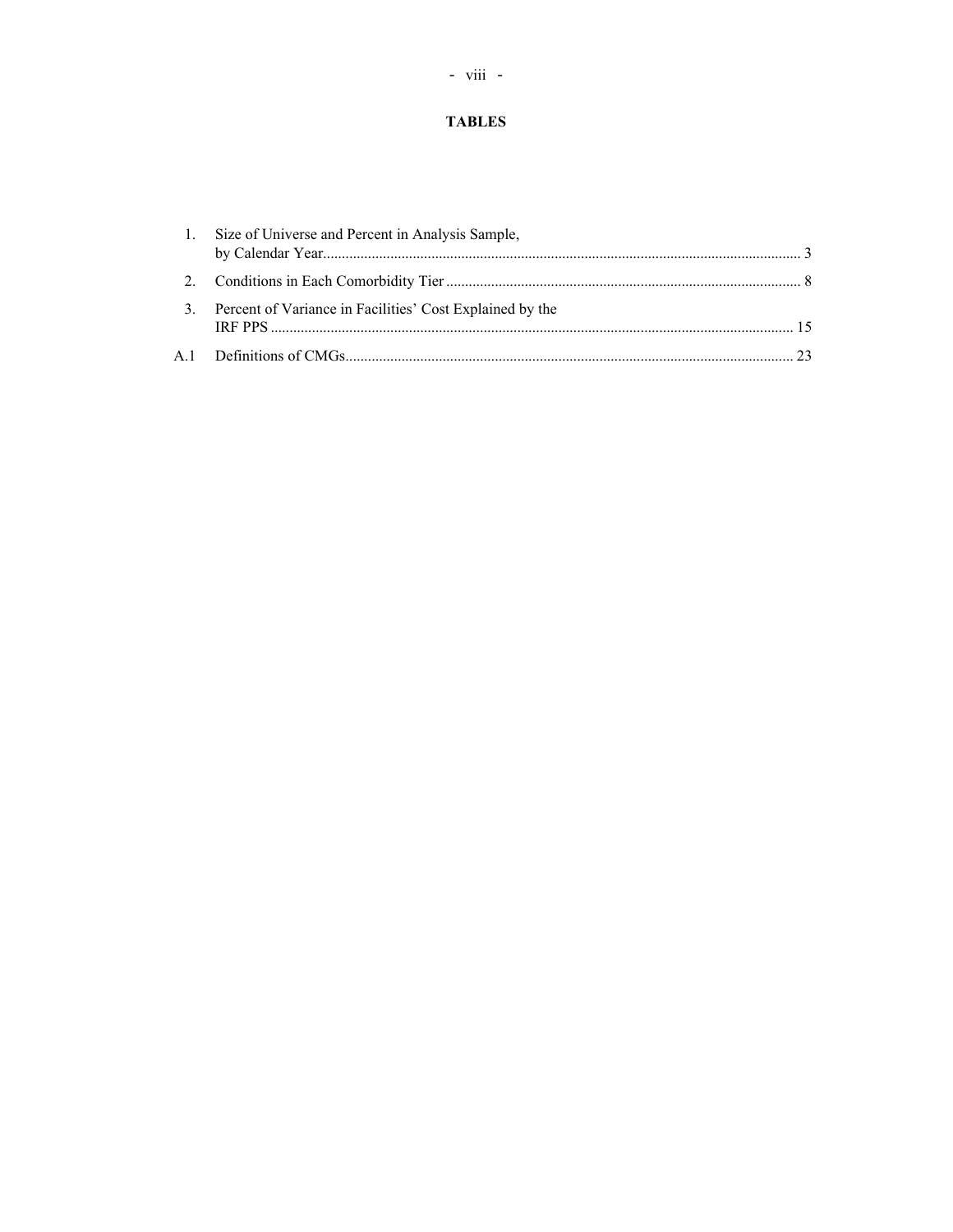# **TABLES**

|  | 1. Size of Universe and Percent in Analysis Sample,         |  |
|--|-------------------------------------------------------------|--|
|  |                                                             |  |
|  | 3. Percent of Variance in Facilities' Cost Explained by the |  |
|  |                                                             |  |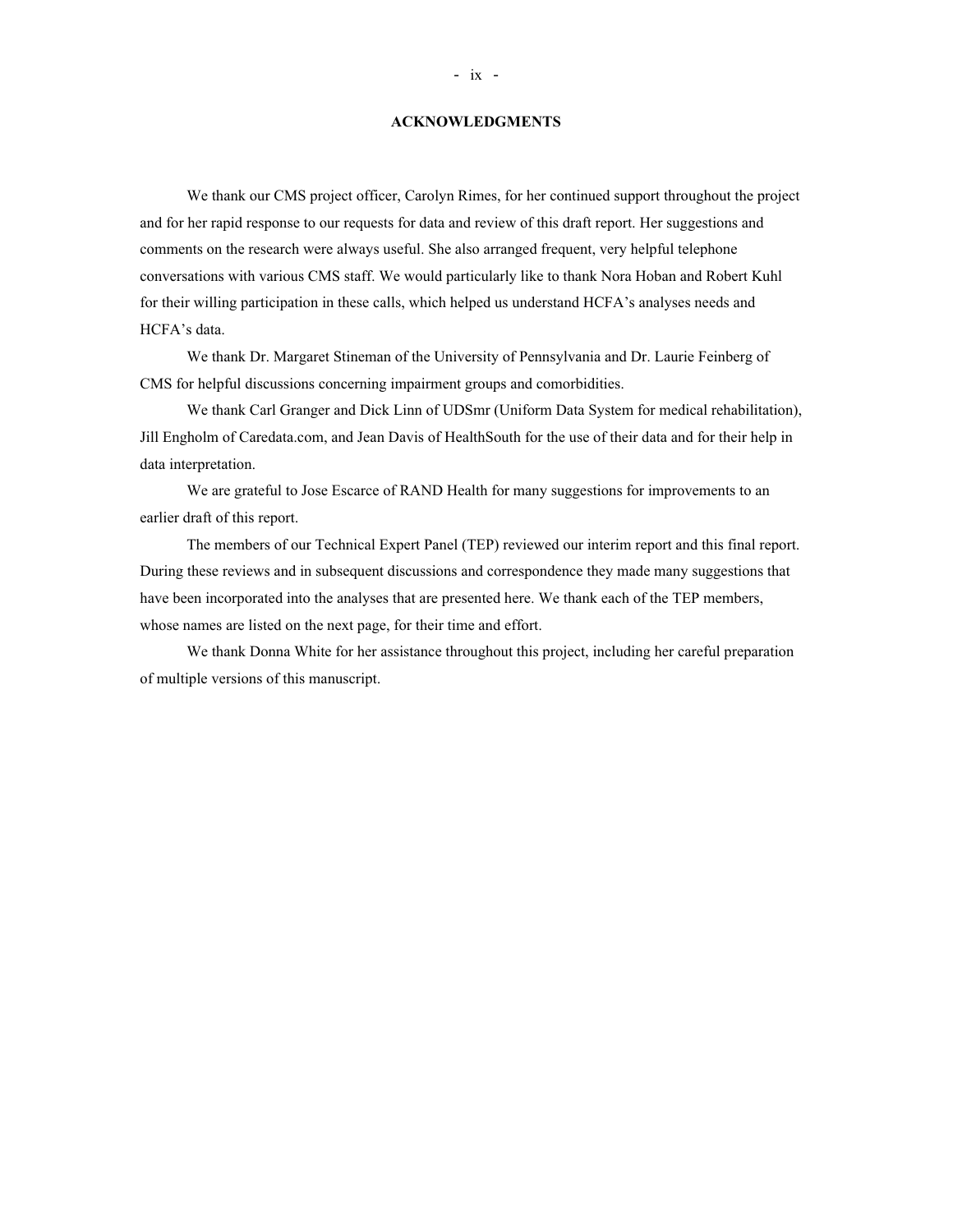#### **ACKNOWLEDGMENTS**

We thank our CMS project officer, Carolyn Rimes, for her continued support throughout the project and for her rapid response to our requests for data and review of this draft report. Her suggestions and comments on the research were always useful. She also arranged frequent, very helpful telephone conversations with various CMS staff. We would particularly like to thank Nora Hoban and Robert Kuhl for their willing participation in these calls, which helped us understand HCFA's analyses needs and HCFA's data.

We thank Dr. Margaret Stineman of the University of Pennsylvania and Dr. Laurie Feinberg of CMS for helpful discussions concerning impairment groups and comorbidities.

We thank Carl Granger and Dick Linn of UDSmr (Uniform Data System for medical rehabilitation), Jill Engholm of Caredata.com, and Jean Davis of HealthSouth for the use of their data and for their help in data interpretation.

We are grateful to Jose Escarce of RAND Health for many suggestions for improvements to an earlier draft of this report.

The members of our Technical Expert Panel (TEP) reviewed our interim report and this final report. During these reviews and in subsequent discussions and correspondence they made many suggestions that have been incorporated into the analyses that are presented here. We thank each of the TEP members, whose names are listed on the next page, for their time and effort.

We thank Donna White for her assistance throughout this project, including her careful preparation of multiple versions of this manuscript.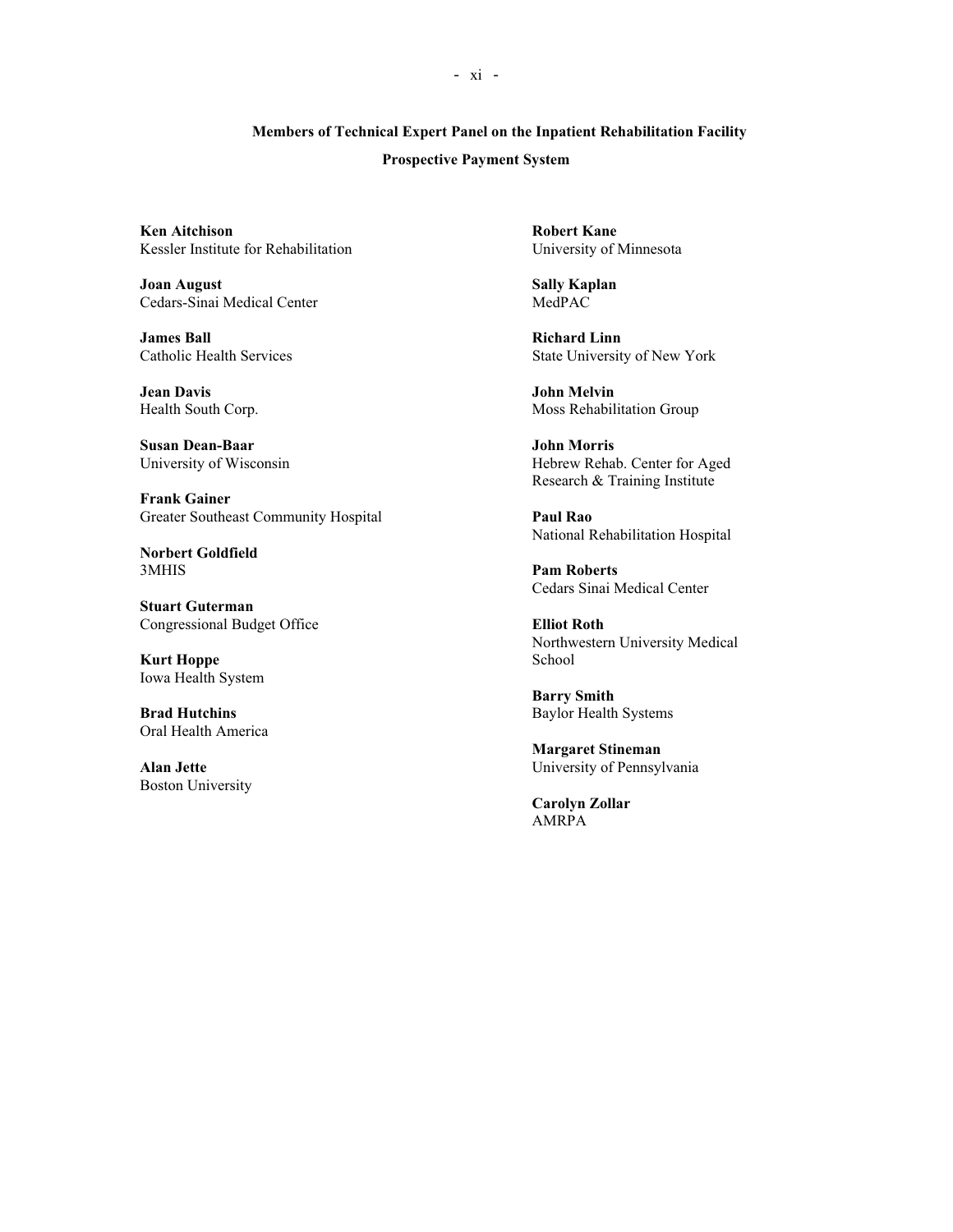## **Members of Technical Expert Panel on the Inpatient Rehabilitation Facility**

#### **Prospective Payment System**

**Ken Aitchison**<br> **Ken Aitchison**<br> **Kessler Institute for Rehabilitation**<br> **Robert Kane**<br> **Chiversity of Minnesota** Kessler Institute for Rehabilitation

**Joan August Sally Kaplan**<br>Cedars-Sinai Medical Center Sally Kaplan<br>MedPAC Cedars-Sinai Medical Center

**James Ball Services**<br>Catholic Health Services State Universit

**Jean Davis**<br> **John Melvin**<br> **Health South Corp.**<br> **Moss Rehabili** 

**Susan Dean-Baar John Morris**

**Frank Gainer** Greater Southeast Community Hospital **Paul Rao**

**Norbert Goldfield**

**Stuart Guterman** Congressional Budget Office **Elliot Roth**

**Kurt Hoppe** School Iowa Health System

Oral Health America

Boston University

State University of New York

Moss Rehabilitation Group

University of Wisconsin Hebrew Rehab. Center for Aged Research & Training Institute

National Rehabilitation Hospital

**Pam Roberts** Cedars Sinai Medical Center

Northwestern University Medical

**Barry Smith Brad Hutchins** Baylor Health Systems

**Margaret Stineman Alan Jette** University of Pennsylvania

> **Carolyn Zollar** AMRPA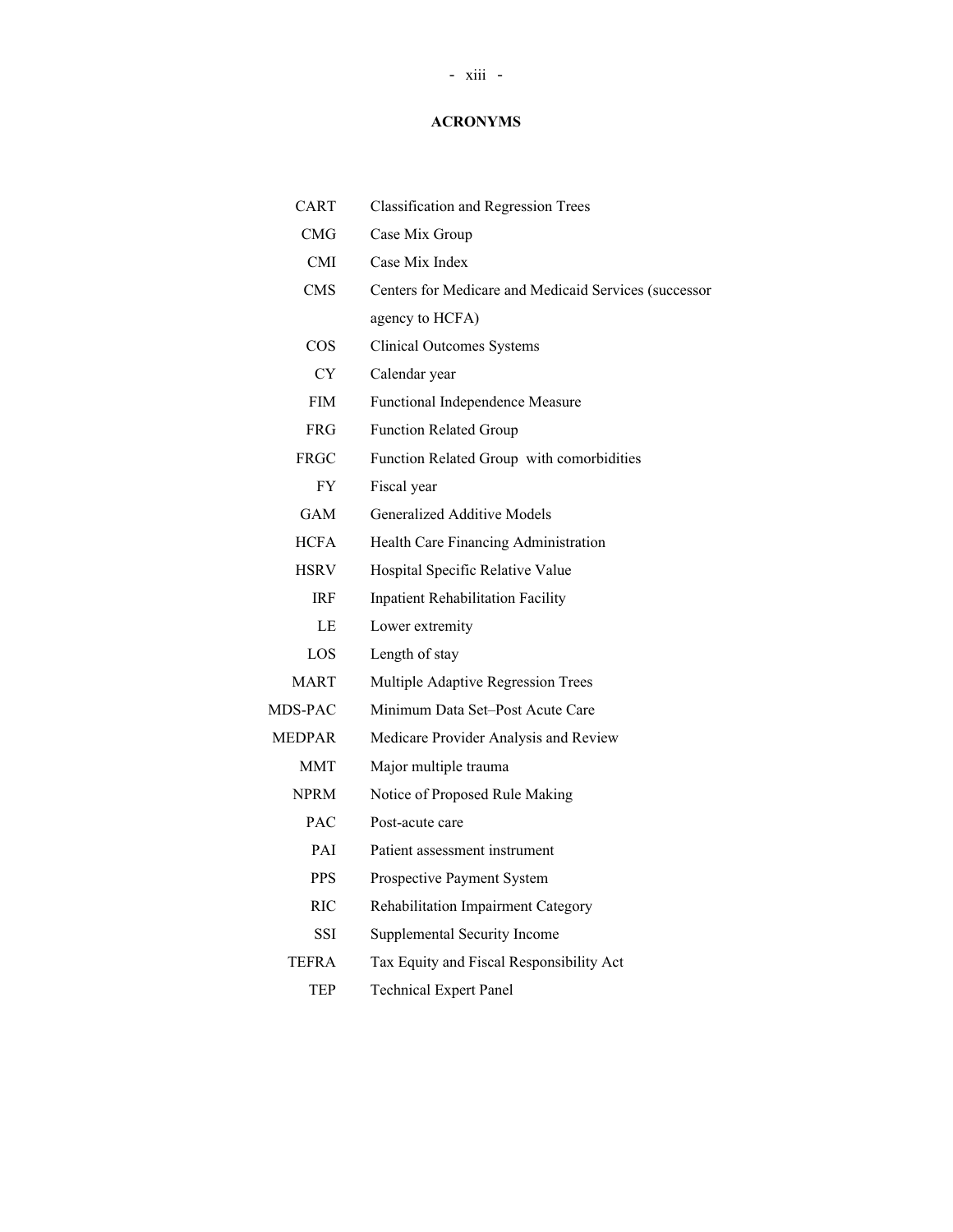## **ACRONYMS**

| CART          | <b>Classification and Regression Trees</b>            |
|---------------|-------------------------------------------------------|
| <b>CMG</b>    | Case Mix Group                                        |
| <b>CMI</b>    | Case Mix Index                                        |
| <b>CMS</b>    | Centers for Medicare and Medicaid Services (successor |
|               | agency to HCFA)                                       |
| <b>COS</b>    | <b>Clinical Outcomes Systems</b>                      |
| <b>CY</b>     | Calendar year                                         |
| <b>FIM</b>    | Functional Independence Measure                       |
| <b>FRG</b>    | <b>Function Related Group</b>                         |
| <b>FRGC</b>   | Function Related Group with comorbidities             |
| <b>FY</b>     | Fiscal year                                           |
| GAM           | <b>Generalized Additive Models</b>                    |
| <b>HCFA</b>   | Health Care Financing Administration                  |
| <b>HSRV</b>   | Hospital Specific Relative Value                      |
| <b>IRF</b>    | <b>Inpatient Rehabilitation Facility</b>              |
| LE            | Lower extremity                                       |
| LOS           | Length of stay                                        |
| MART          | Multiple Adaptive Regression Trees                    |
| MDS-PAC       | Minimum Data Set-Post Acute Care                      |
| <b>MEDPAR</b> | Medicare Provider Analysis and Review                 |
| <b>MMT</b>    | Major multiple trauma                                 |
| <b>NPRM</b>   | Notice of Proposed Rule Making                        |
| <b>PAC</b>    | Post-acute care                                       |
| PAI           | Patient assessment instrument                         |
| <b>PPS</b>    | Prospective Payment System                            |
| <b>RIC</b>    | Rehabilitation Impairment Category                    |
| SSI           | Supplemental Security Income                          |
| TEFRA         | Tax Equity and Fiscal Responsibility Act              |
| TEP           | <b>Technical Expert Panel</b>                         |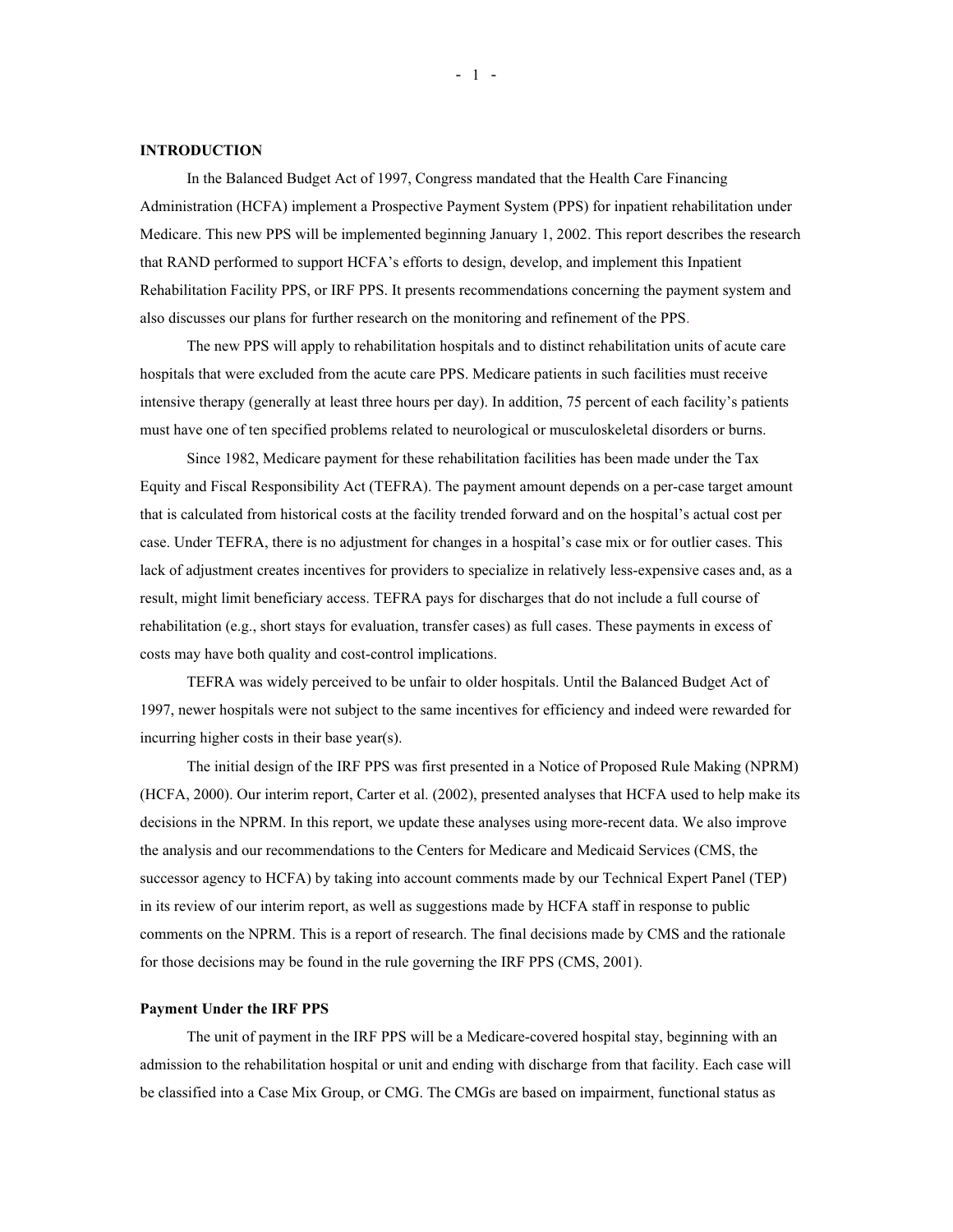#### **INTRODUCTION**

In the Balanced Budget Act of 1997, Congress mandated that the Health Care Financing Administration (HCFA) implement a Prospective Payment System (PPS) for inpatient rehabilitation under Medicare. This new PPS will be implemented beginning January 1, 2002. This report describes the research that RAND performed to support HCFA's efforts to design, develop, and implement this Inpatient Rehabilitation Facility PPS, or IRF PPS. It presents recommendations concerning the payment system and also discusses our plans for further research on the monitoring and refinement of the PPS.

The new PPS will apply to rehabilitation hospitals and to distinct rehabilitation units of acute care hospitals that were excluded from the acute care PPS. Medicare patients in such facilities must receive intensive therapy (generally at least three hours per day). In addition, 75 percent of each facility's patients must have one of ten specified problems related to neurological or musculoskeletal disorders or burns.

Since 1982, Medicare payment for these rehabilitation facilities has been made under the Tax Equity and Fiscal Responsibility Act (TEFRA). The payment amount depends on a per-case target amount that is calculated from historical costs at the facility trended forward and on the hospital's actual cost per case. Under TEFRA, there is no adjustment for changes in a hospital's case mix or for outlier cases. This lack of adjustment creates incentives for providers to specialize in relatively less-expensive cases and, as a result, might limit beneficiary access. TEFRA pays for discharges that do not include a full course of rehabilitation (e.g., short stays for evaluation, transfer cases) as full cases. These payments in excess of costs may have both quality and cost-control implications.

TEFRA was widely perceived to be unfair to older hospitals. Until the Balanced Budget Act of 1997, newer hospitals were not subject to the same incentives for efficiency and indeed were rewarded for incurring higher costs in their base year(s).

The initial design of the IRF PPS was first presented in a Notice of Proposed Rule Making (NPRM) (HCFA, 2000). Our interim report, Carter et al. (2002), presented analyses that HCFA used to help make its decisions in the NPRM. In this report, we update these analyses using more-recent data. We also improve the analysis and our recommendations to the Centers for Medicare and Medicaid Services (CMS, the successor agency to HCFA) by taking into account comments made by our Technical Expert Panel (TEP) in its review of our interim report, as well as suggestions made by HCFA staff in response to public comments on the NPRM. This is a report of research. The final decisions made by CMS and the rationale for those decisions may be found in the rule governing the IRF PPS (CMS, 2001).

#### **Payment Under the IRF PPS**

The unit of payment in the IRF PPS will be a Medicare-covered hospital stay, beginning with an admission to the rehabilitation hospital or unit and ending with discharge from that facility. Each case will be classified into a Case Mix Group, or CMG. The CMGs are based on impairment, functional status as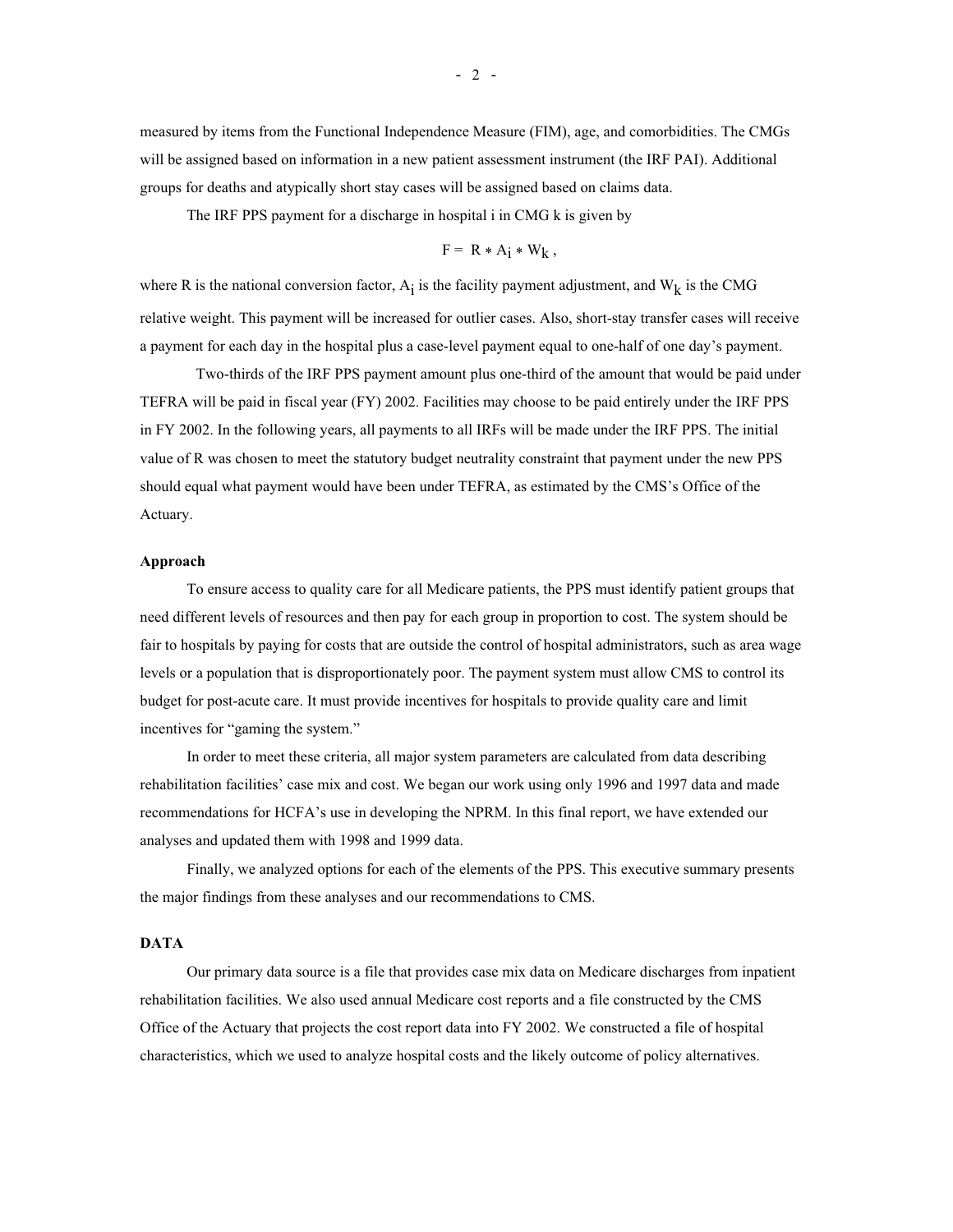measured by items from the Functional Independence Measure (FIM), age, and comorbidities. The CMGs will be assigned based on information in a new patient assessment instrument (the IRF PAI). Additional groups for deaths and atypically short stay cases will be assigned based on claims data.

The IRF PPS payment for a discharge in hospital i in CMG k is given by

$$
F = R * A_i * W_k,
$$

where R is the national conversion factor,  $A_i$  is the facility payment adjustment, and  $W_k$  is the CMG relative weight. This payment will be increased for outlier cases. Also, short-stay transfer cases will receive a payment for each day in the hospital plus a case-level payment equal to one-half of one day's payment.

Two-thirds of the IRF PPS payment amount plus one-third of the amount that would be paid under TEFRA will be paid in fiscal year (FY) 2002. Facilities may choose to be paid entirely under the IRF PPS in FY 2002. In the following years, all payments to all IRFs will be made under the IRF PPS. The initial value of R was chosen to meet the statutory budget neutrality constraint that payment under the new PPS should equal what payment would have been under TEFRA, as estimated by the CMS's Office of the Actuary.

#### **Approach**

To ensure access to quality care for all Medicare patients, the PPS must identify patient groups that need different levels of resources and then pay for each group in proportion to cost. The system should be fair to hospitals by paying for costs that are outside the control of hospital administrators, such as area wage levels or a population that is disproportionately poor. The payment system must allow CMS to control its budget for post-acute care. It must provide incentives for hospitals to provide quality care and limit incentives for "gaming the system."

In order to meet these criteria, all major system parameters are calculated from data describing rehabilitation facilities' case mix and cost. We began our work using only 1996 and 1997 data and made recommendations for HCFA's use in developing the NPRM. In this final report, we have extended our analyses and updated them with 1998 and 1999 data.

Finally, we analyzed options for each of the elements of the PPS. This executive summary presents the major findings from these analyses and our recommendations to CMS.

#### **DATA**

Our primary data source is a file that provides case mix data on Medicare discharges from inpatient rehabilitation facilities. We also used annual Medicare cost reports and a file constructed by the CMS Office of the Actuary that projects the cost report data into FY 2002. We constructed a file of hospital characteristics, which we used to analyze hospital costs and the likely outcome of policy alternatives.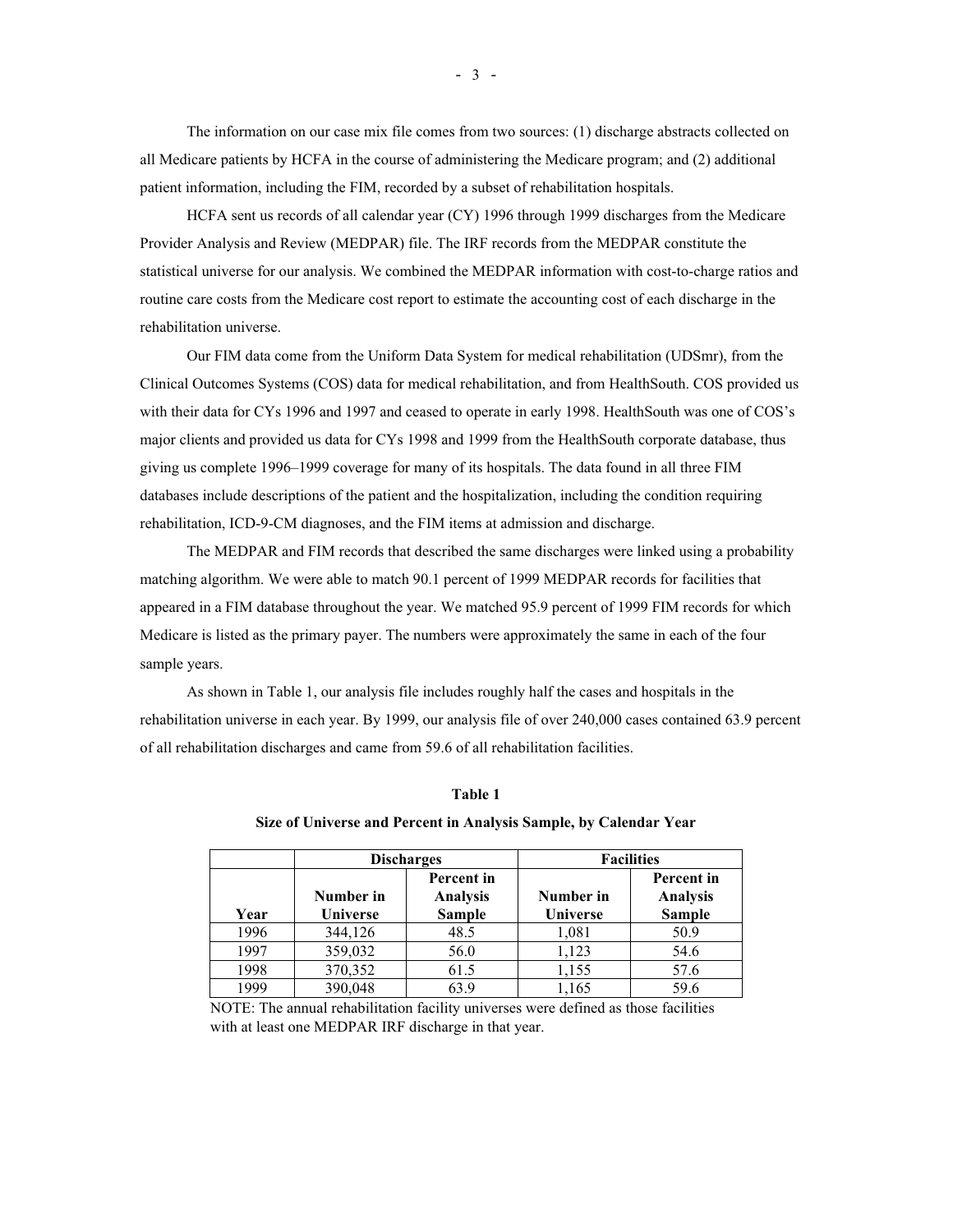The information on our case mix file comes from two sources: (1) discharge abstracts collected on all Medicare patients by HCFA in the course of administering the Medicare program; and (2) additional patient information, including the FIM, recorded by a subset of rehabilitation hospitals.

HCFA sent us records of all calendar year (CY) 1996 through 1999 discharges from the Medicare Provider Analysis and Review (MEDPAR) file. The IRF records from the MEDPAR constitute the statistical universe for our analysis. We combined the MEDPAR information with cost-to-charge ratios and routine care costs from the Medicare cost report to estimate the accounting cost of each discharge in the rehabilitation universe.

Our FIM data come from the Uniform Data System for medical rehabilitation (UDSmr), from the Clinical Outcomes Systems (COS) data for medical rehabilitation, and from HealthSouth. COS provided us with their data for CYs 1996 and 1997 and ceased to operate in early 1998. HealthSouth was one of COS's major clients and provided us data for CYs 1998 and 1999 from the HealthSouth corporate database, thus giving us complete 1996–1999 coverage for many of its hospitals. The data found in all three FIM databases include descriptions of the patient and the hospitalization, including the condition requiring rehabilitation, ICD-9-CM diagnoses, and the FIM items at admission and discharge.

The MEDPAR and FIM records that described the same discharges were linked using a probability matching algorithm. We were able to match 90.1 percent of 1999 MEDPAR records for facilities that appeared in a FIM database throughout the year. We matched 95.9 percent of 1999 FIM records for which Medicare is listed as the primary payer. The numbers were approximately the same in each of the four sample years.

As shown in Table 1, our analysis file includes roughly half the cases and hospitals in the rehabilitation universe in each year. By 1999, our analysis file of over 240,000 cases contained 63.9 percent of all rehabilitation discharges and came from 59.6 of all rehabilitation facilities.

|      |                              | <b>Discharges</b>                              |                              | <b>Facilities</b>                                     |  |
|------|------------------------------|------------------------------------------------|------------------------------|-------------------------------------------------------|--|
| Year | Number in<br><b>Universe</b> | Percent in<br><b>Analysis</b><br><b>Sample</b> | Number in<br><b>Universe</b> | <b>Percent</b> in<br><b>Analysis</b><br><b>Sample</b> |  |
| 1996 | 344,126                      | 48.5                                           | 1,081                        | 50.9                                                  |  |
| 1997 | 359,032                      | 56.0                                           | 1,123                        | 54.6                                                  |  |
| 1998 | 370,352                      | 61.5                                           | 1,155                        | 57.6                                                  |  |
| 1999 | 390,048                      | 63.9                                           | 1.165                        | 59.6                                                  |  |

#### **Table 1**

#### **Size of Universe and Percent in Analysis Sample, by Calendar Year**

NOTE: The annual rehabilitation facility universes were defined as those facilities with at least one MEDPAR IRF discharge in that year.

- 3 -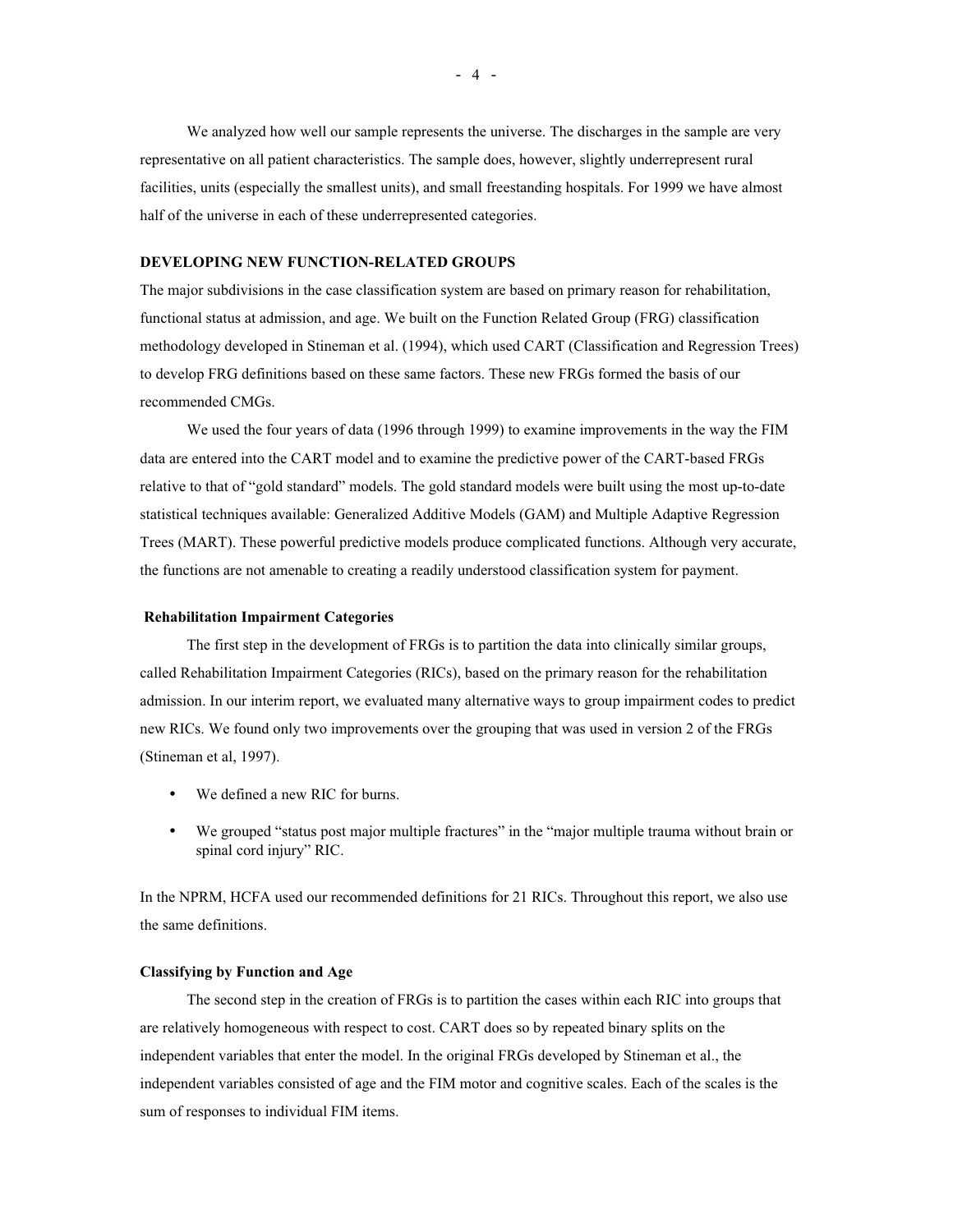We analyzed how well our sample represents the universe. The discharges in the sample are very representative on all patient characteristics. The sample does, however, slightly underrepresent rural facilities, units (especially the smallest units), and small freestanding hospitals. For 1999 we have almost half of the universe in each of these underrepresented categories.

#### **DEVELOPING NEW FUNCTION-RELATED GROUPS**

The major subdivisions in the case classification system are based on primary reason for rehabilitation, functional status at admission, and age. We built on the Function Related Group (FRG) classification methodology developed in Stineman et al. (1994), which used CART (Classification and Regression Trees) to develop FRG definitions based on these same factors. These new FRGs formed the basis of our recommended CMGs.

We used the four years of data (1996 through 1999) to examine improvements in the way the FIM data are entered into the CART model and to examine the predictive power of the CART-based FRGs relative to that of "gold standard" models. The gold standard models were built using the most up-to-date statistical techniques available: Generalized Additive Models (GAM) and Multiple Adaptive Regression Trees (MART). These powerful predictive models produce complicated functions. Although very accurate, the functions are not amenable to creating a readily understood classification system for payment.

#### **Rehabilitation Impairment Categories**

The first step in the development of FRGs is to partition the data into clinically similar groups, called Rehabilitation Impairment Categories (RICs), based on the primary reason for the rehabilitation admission. In our interim report, we evaluated many alternative ways to group impairment codes to predict new RICs. We found only two improvements over the grouping that was used in version 2 of the FRGs (Stineman et al, 1997).

- We defined a new RIC for burns.
- We grouped "status post major multiple fractures" in the "major multiple trauma without brain or spinal cord injury" RIC.

In the NPRM, HCFA used our recommended definitions for 21 RICs. Throughout this report, we also use the same definitions.

#### **Classifying by Function and Age**

The second step in the creation of FRGs is to partition the cases within each RIC into groups that are relatively homogeneous with respect to cost. CART does so by repeated binary splits on the independent variables that enter the model. In the original FRGs developed by Stineman et al., the independent variables consisted of age and the FIM motor and cognitive scales. Each of the scales is the sum of responses to individual FIM items.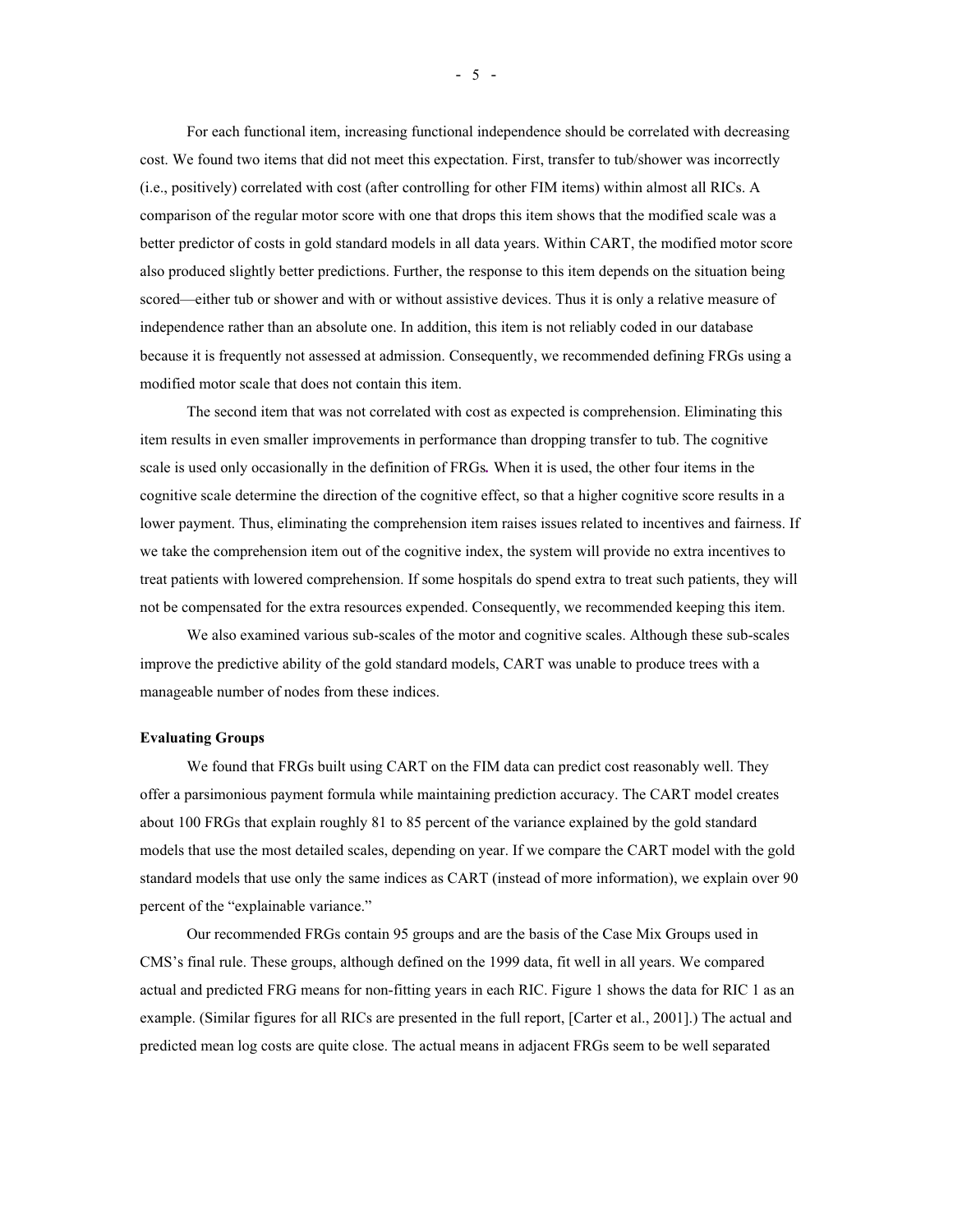For each functional item, increasing functional independence should be correlated with decreasing cost. We found two items that did not meet this expectation. First, transfer to tub/shower was incorrectly (i.e., positively) correlated with cost (after controlling for other FIM items) within almost all RICs. A comparison of the regular motor score with one that drops this item shows that the modified scale was a better predictor of costs in gold standard models in all data years. Within CART, the modified motor score also produced slightly better predictions. Further, the response to this item depends on the situation being scored—either tub or shower and with or without assistive devices. Thus it is only a relative measure of independence rather than an absolute one. In addition, this item is not reliably coded in our database because it is frequently not assessed at admission. Consequently, we recommended defining FRGs using a modified motor scale that does not contain this item.

The second item that was not correlated with cost as expected is comprehension. Eliminating this item results in even smaller improvements in performance than dropping transfer to tub. The cognitive scale is used only occasionally in the definition of FRGs*.* When it is used, the other four items in the cognitive scale determine the direction of the cognitive effect, so that a higher cognitive score results in a lower payment. Thus, eliminating the comprehension item raises issues related to incentives and fairness. If we take the comprehension item out of the cognitive index, the system will provide no extra incentives to treat patients with lowered comprehension. If some hospitals do spend extra to treat such patients, they will not be compensated for the extra resources expended. Consequently, we recommended keeping this item.

We also examined various sub-scales of the motor and cognitive scales. Although these sub-scales improve the predictive ability of the gold standard models, CART was unable to produce trees with a manageable number of nodes from these indices.

#### **Evaluating Groups**

We found that FRGs built using CART on the FIM data can predict cost reasonably well. They offer a parsimonious payment formula while maintaining prediction accuracy. The CART model creates about 100 FRGs that explain roughly 81 to 85 percent of the variance explained by the gold standard models that use the most detailed scales, depending on year. If we compare the CART model with the gold standard models that use only the same indices as CART (instead of more information), we explain over 90 percent of the "explainable variance."

Our recommended FRGs contain 95 groups and are the basis of the Case Mix Groups used in CMS's final rule. These groups, although defined on the 1999 data, fit well in all years. We compared actual and predicted FRG means for non-fitting years in each RIC. Figure 1 shows the data for RIC 1 as an example. (Similar figures for all RICs are presented in the full report, [Carter et al., 2001].) The actual and predicted mean log costs are quite close. The actual means in adjacent FRGs seem to be well separated

 $- 5 -$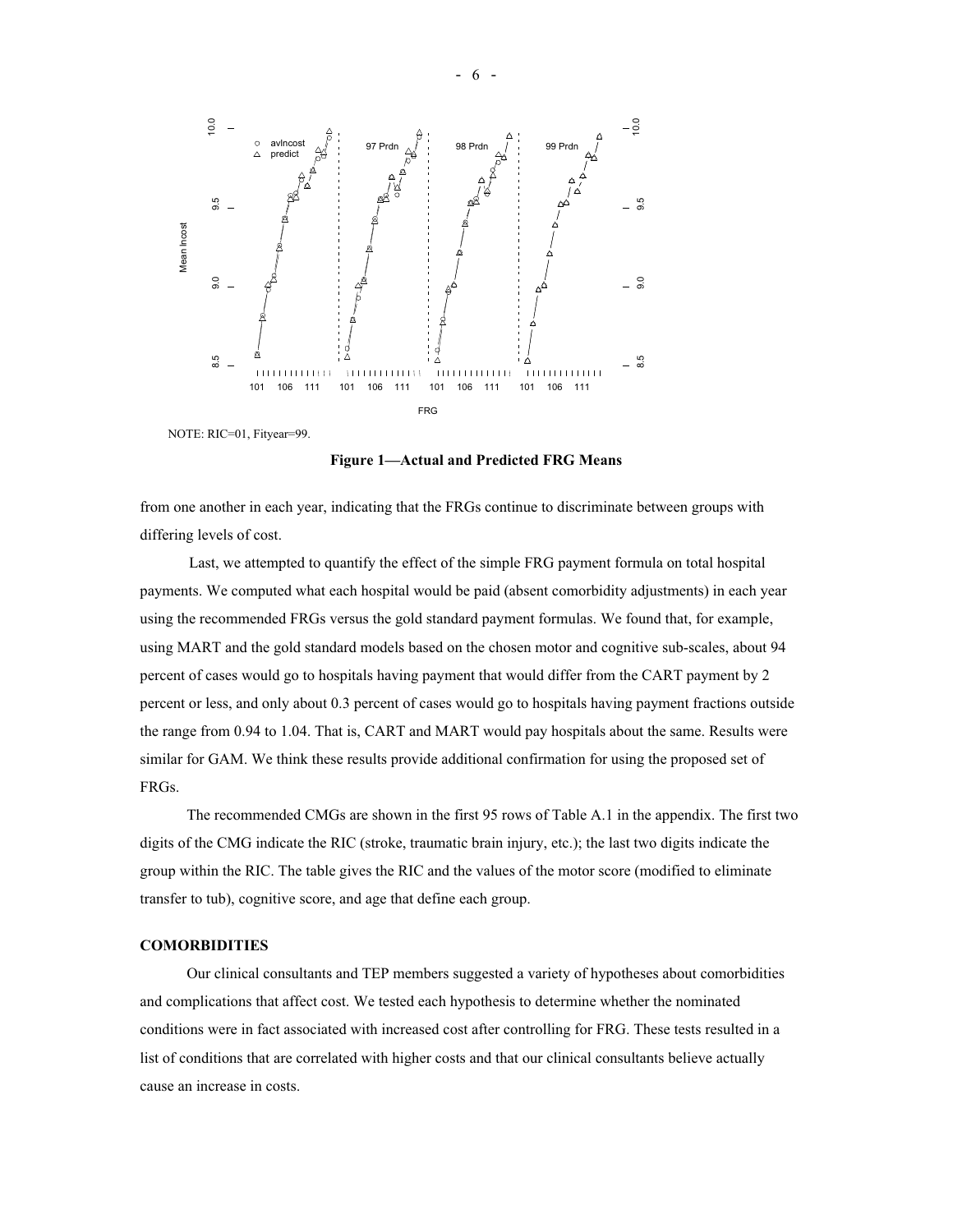

NOTE: RIC=01, Fityear=99.

**Figure 1—Actual and Predicted FRG Means**

from one another in each year, indicating that the FRGs continue to discriminate between groups with differing levels of cost.

Last, we attempted to quantify the effect of the simple FRG payment formula on total hospital payments. We computed what each hospital would be paid (absent comorbidity adjustments) in each year using the recommended FRGs versus the gold standard payment formulas. We found that, for example, using MART and the gold standard models based on the chosen motor and cognitive sub-scales, about 94 percent of cases would go to hospitals having payment that would differ from the CART payment by 2 percent or less, and only about 0.3 percent of cases would go to hospitals having payment fractions outside the range from 0.94 to 1.04. That is, CART and MART would pay hospitals about the same. Results were similar for GAM. We think these results provide additional confirmation for using the proposed set of FRGs.

The recommended CMGs are shown in the first 95 rows of Table A.1 in the appendix. The first two digits of the CMG indicate the RIC (stroke, traumatic brain injury, etc.); the last two digits indicate the group within the RIC. The table gives the RIC and the values of the motor score (modified to eliminate transfer to tub), cognitive score, and age that define each group.

## **COMORBIDITIES**

Our clinical consultants and TEP members suggested a variety of hypotheses about comorbidities and complications that affect cost. We tested each hypothesis to determine whether the nominated conditions were in fact associated with increased cost after controlling for FRG. These tests resulted in a list of conditions that are correlated with higher costs and that our clinical consultants believe actually cause an increase in costs.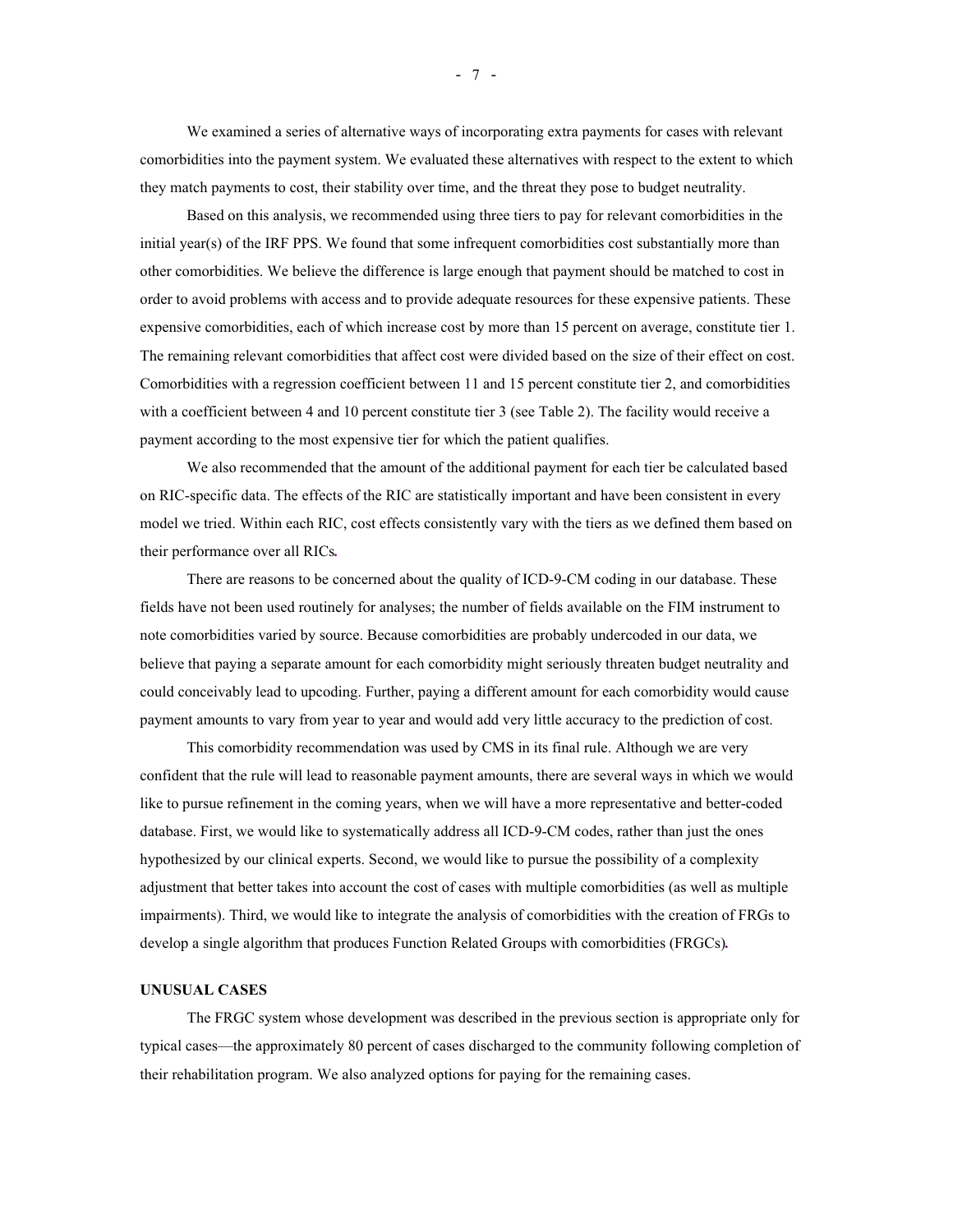We examined a series of alternative ways of incorporating extra payments for cases with relevant comorbidities into the payment system. We evaluated these alternatives with respect to the extent to which they match payments to cost, their stability over time, and the threat they pose to budget neutrality.

Based on this analysis, we recommended using three tiers to pay for relevant comorbidities in the initial year(s) of the IRF PPS. We found that some infrequent comorbidities cost substantially more than other comorbidities. We believe the difference is large enough that payment should be matched to cost in order to avoid problems with access and to provide adequate resources for these expensive patients. These expensive comorbidities, each of which increase cost by more than 15 percent on average, constitute tier 1. The remaining relevant comorbidities that affect cost were divided based on the size of their effect on cost. Comorbidities with a regression coefficient between 11 and 15 percent constitute tier 2, and comorbidities with a coefficient between 4 and 10 percent constitute tier 3 (see Table 2). The facility would receive a payment according to the most expensive tier for which the patient qualifies.

We also recommended that the amount of the additional payment for each tier be calculated based on RIC-specific data. The effects of the RIC are statistically important and have been consistent in every model we tried. Within each RIC, cost effects consistently vary with the tiers as we defined them based on their performance over all RICs*.*

There are reasons to be concerned about the quality of ICD-9-CM coding in our database. These fields have not been used routinely for analyses; the number of fields available on the FIM instrument to note comorbidities varied by source. Because comorbidities are probably undercoded in our data, we believe that paying a separate amount for each comorbidity might seriously threaten budget neutrality and could conceivably lead to upcoding. Further, paying a different amount for each comorbidity would cause payment amounts to vary from year to year and would add very little accuracy to the prediction of cost.

This comorbidity recommendation was used by CMS in its final rule. Although we are very confident that the rule will lead to reasonable payment amounts, there are several ways in which we would like to pursue refinement in the coming years, when we will have a more representative and better-coded database. First, we would like to systematically address all ICD-9-CM codes, rather than just the ones hypothesized by our clinical experts. Second, we would like to pursue the possibility of a complexity adjustment that better takes into account the cost of cases with multiple comorbidities (as well as multiple impairments). Third, we would like to integrate the analysis of comorbidities with the creation of FRGs to develop a single algorithm that produces Function Related Groups with comorbidities (FRGCs)*.*

#### **UNUSUAL CASES**

The FRGC system whose development was described in the previous section is appropriate only for typical cases—the approximately 80 percent of cases discharged to the community following completion of their rehabilitation program. We also analyzed options for paying for the remaining cases.

- 7 -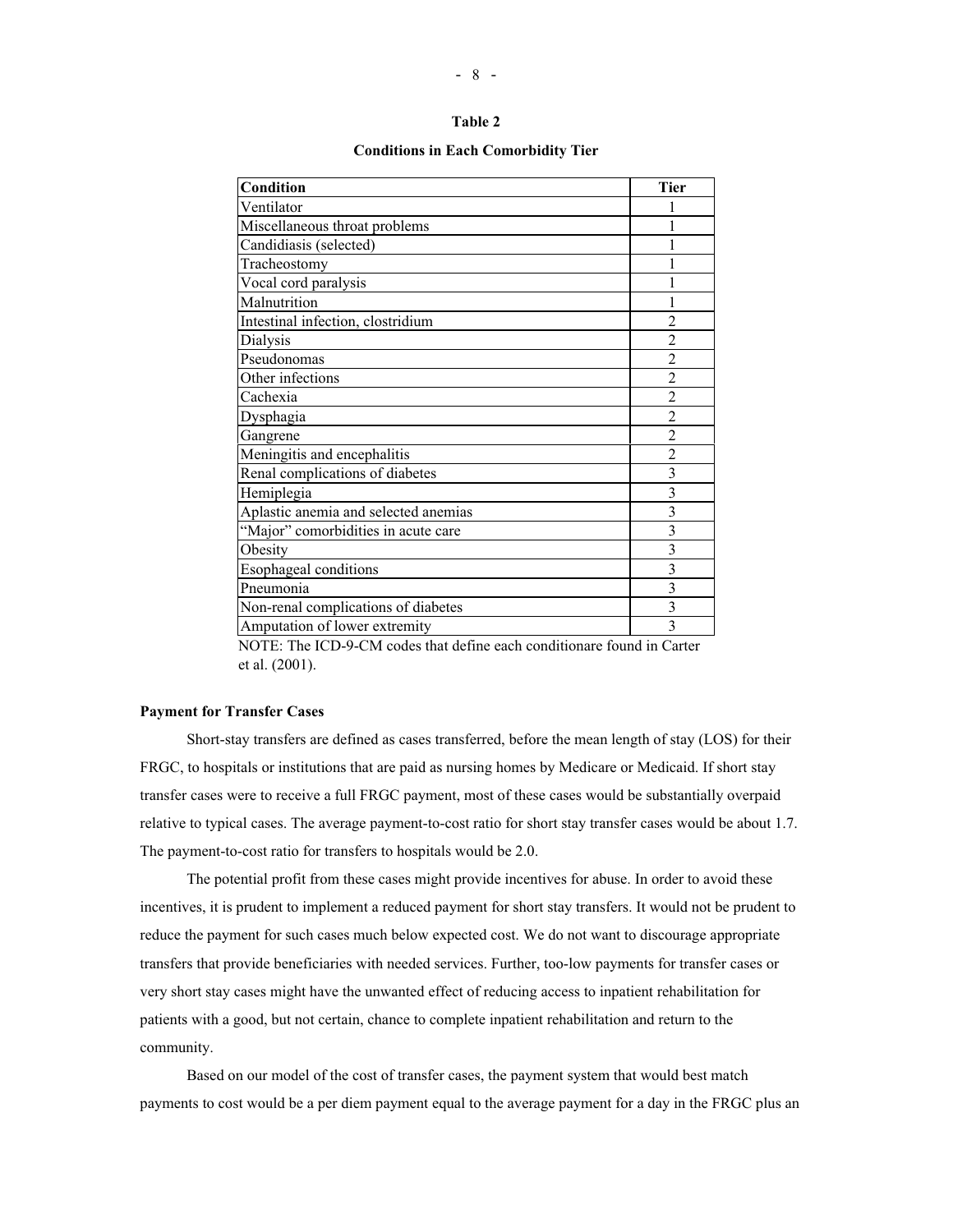| Condition                            | <b>Tier</b>             |
|--------------------------------------|-------------------------|
| Ventilator                           |                         |
| Miscellaneous throat problems        |                         |
| Candidiasis (selected)               |                         |
| Tracheostomy                         |                         |
| Vocal cord paralysis                 |                         |
| Malnutrition                         |                         |
| Intestinal infection, clostridium    | $\overline{2}$          |
| Dialysis                             | $\mathfrak{D}$          |
| Pseudonomas                          | $\overline{c}$          |
| Other infections                     | $\overline{2}$          |
| Cachexia                             | $\overline{2}$          |
| Dysphagia                            | $\overline{c}$          |
| Gangrene                             | $\overline{2}$          |
| Meningitis and encephalitis          | $\overline{2}$          |
| Renal complications of diabetes      | $\overline{\mathbf{3}}$ |
| Hemiplegia                           | 3                       |
| Aplastic anemia and selected anemias | $\overline{\mathbf{3}}$ |
| "Major" comorbidities in acute care  | 3                       |
| Obesity                              | $\overline{\mathbf{3}}$ |
| Esophageal conditions                | 3                       |
| Pneumonia                            | $\overline{3}$          |
| Non-renal complications of diabetes  | $\overline{\mathbf{3}}$ |
| Amputation of lower extremity        | $\overline{3}$          |

#### **Conditions in Each Comorbidity Tier**

NOTE: The ICD-9-CM codes that define each conditionare found in Carter et al. (2001).

## **Payment for Transfer Cases**

Short-stay transfers are defined as cases transferred, before the mean length of stay (LOS) for their FRGC, to hospitals or institutions that are paid as nursing homes by Medicare or Medicaid. If short stay transfer cases were to receive a full FRGC payment, most of these cases would be substantially overpaid relative to typical cases. The average payment-to-cost ratio for short stay transfer cases would be about 1.7. The payment-to-cost ratio for transfers to hospitals would be 2.0.

The potential profit from these cases might provide incentives for abuse. In order to avoid these incentives, it is prudent to implement a reduced payment for short stay transfers. It would not be prudent to reduce the payment for such cases much below expected cost. We do not want to discourage appropriate transfers that provide beneficiaries with needed services. Further, too-low payments for transfer cases or very short stay cases might have the unwanted effect of reducing access to inpatient rehabilitation for patients with a good, but not certain, chance to complete inpatient rehabilitation and return to the community.

Based on our model of the cost of transfer cases, the payment system that would best match payments to cost would be a per diem payment equal to the average payment for a day in the FRGC plus an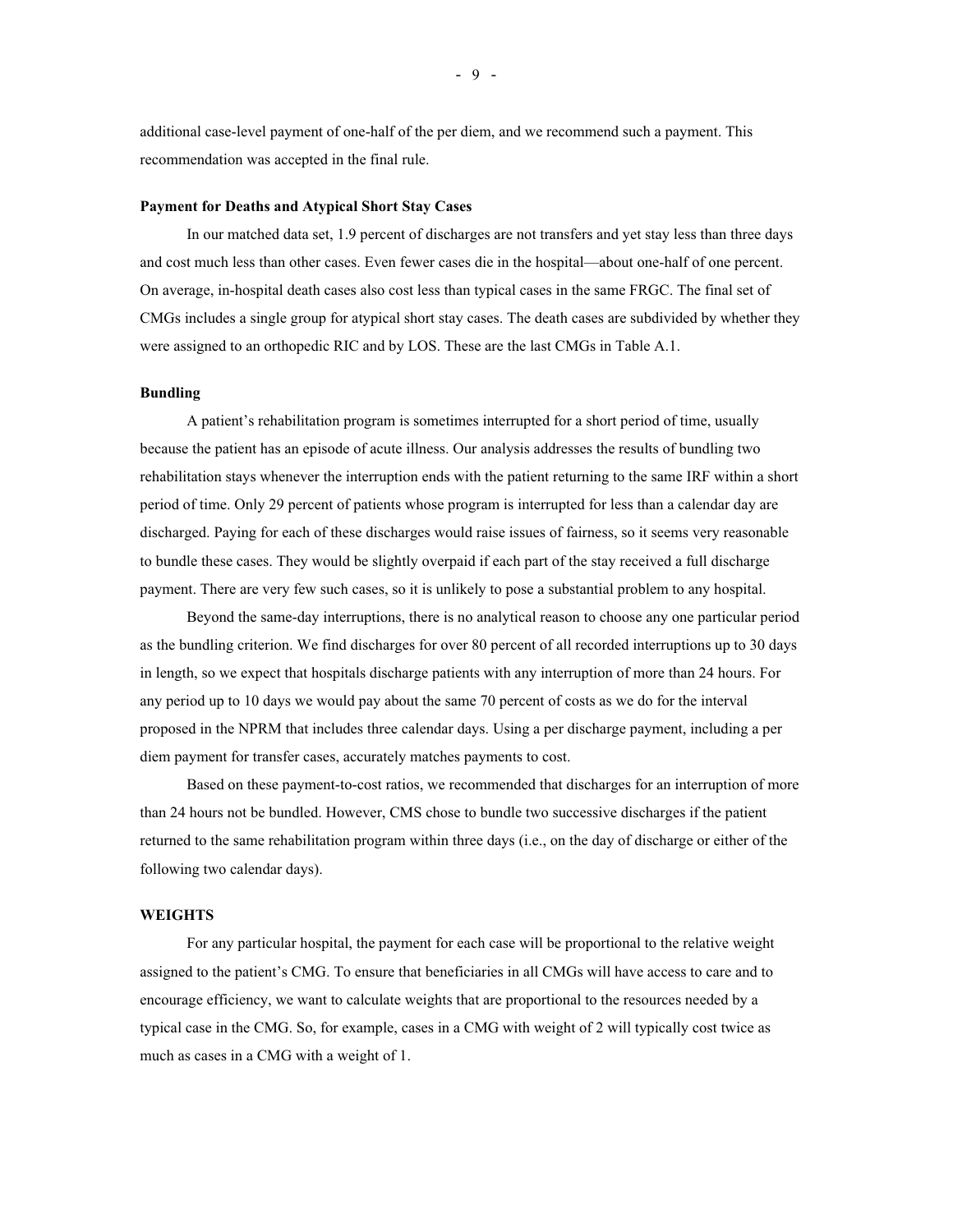additional case-level payment of one-half of the per diem, and we recommend such a payment. This recommendation was accepted in the final rule.

#### **Payment for Deaths and Atypical Short Stay Cases**

In our matched data set, 1.9 percent of discharges are not transfers and yet stay less than three days and cost much less than other cases. Even fewer cases die in the hospital—about one-half of one percent. On average, in-hospital death cases also cost less than typical cases in the same FRGC. The final set of CMGs includes a single group for atypical short stay cases. The death cases are subdivided by whether they were assigned to an orthopedic RIC and by LOS. These are the last CMGs in Table A.1.

#### **Bundling**

A patient's rehabilitation program is sometimes interrupted for a short period of time, usually because the patient has an episode of acute illness. Our analysis addresses the results of bundling two rehabilitation stays whenever the interruption ends with the patient returning to the same IRF within a short period of time. Only 29 percent of patients whose program is interrupted for less than a calendar day are discharged. Paying for each of these discharges would raise issues of fairness, so it seems very reasonable to bundle these cases. They would be slightly overpaid if each part of the stay received a full discharge payment. There are very few such cases, so it is unlikely to pose a substantial problem to any hospital.

Beyond the same-day interruptions, there is no analytical reason to choose any one particular period as the bundling criterion. We find discharges for over 80 percent of all recorded interruptions up to 30 days in length, so we expect that hospitals discharge patients with any interruption of more than 24 hours. For any period up to 10 days we would pay about the same 70 percent of costs as we do for the interval proposed in the NPRM that includes three calendar days. Using a per discharge payment, including a per diem payment for transfer cases, accurately matches payments to cost.

Based on these payment-to-cost ratios, we recommended that discharges for an interruption of more than 24 hours not be bundled. However, CMS chose to bundle two successive discharges if the patient returned to the same rehabilitation program within three days (i.e., on the day of discharge or either of the following two calendar days).

#### **WEIGHTS**

For any particular hospital, the payment for each case will be proportional to the relative weight assigned to the patient's CMG. To ensure that beneficiaries in all CMGs will have access to care and to encourage efficiency, we want to calculate weights that are proportional to the resources needed by a typical case in the CMG. So, for example, cases in a CMG with weight of 2 will typically cost twice as much as cases in a CMG with a weight of 1.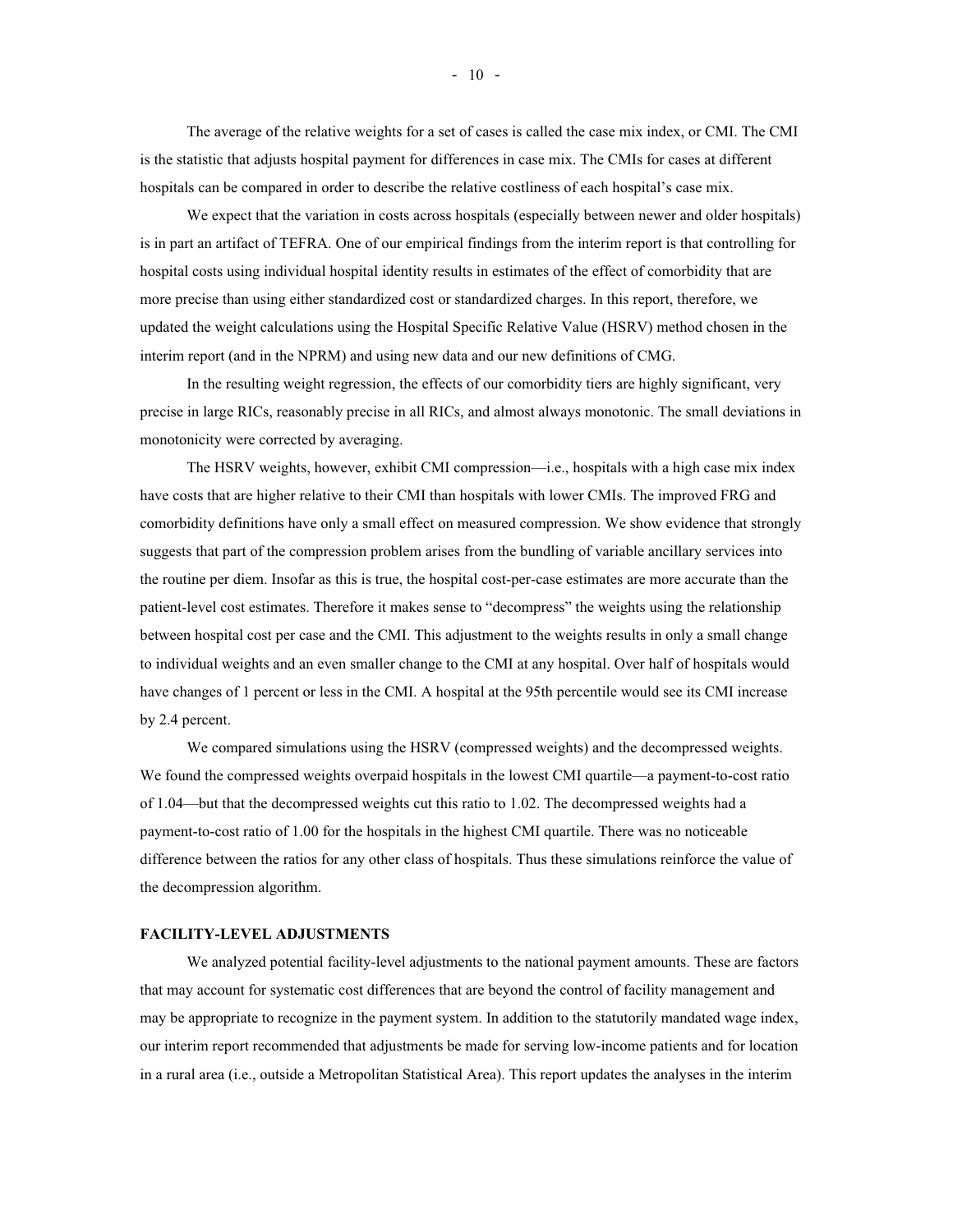The average of the relative weights for a set of cases is called the case mix index, or CMI. The CMI is the statistic that adjusts hospital payment for differences in case mix. The CMIs for cases at different hospitals can be compared in order to describe the relative costliness of each hospital's case mix.

We expect that the variation in costs across hospitals (especially between newer and older hospitals) is in part an artifact of TEFRA. One of our empirical findings from the interim report is that controlling for hospital costs using individual hospital identity results in estimates of the effect of comorbidity that are more precise than using either standardized cost or standardized charges. In this report, therefore, we updated the weight calculations using the Hospital Specific Relative Value (HSRV) method chosen in the interim report (and in the NPRM) and using new data and our new definitions of CMG.

In the resulting weight regression, the effects of our comorbidity tiers are highly significant, very precise in large RICs, reasonably precise in all RICs, and almost always monotonic. The small deviations in monotonicity were corrected by averaging.

The HSRV weights, however, exhibit CMI compression—i.e., hospitals with a high case mix index have costs that are higher relative to their CMI than hospitals with lower CMIs. The improved FRG and comorbidity definitions have only a small effect on measured compression. We show evidence that strongly suggests that part of the compression problem arises from the bundling of variable ancillary services into the routine per diem. Insofar as this is true, the hospital cost-per-case estimates are more accurate than the patient-level cost estimates. Therefore it makes sense to "decompress" the weights using the relationship between hospital cost per case and the CMI. This adjustment to the weights results in only a small change to individual weights and an even smaller change to the CMI at any hospital. Over half of hospitals would have changes of 1 percent or less in the CMI. A hospital at the 95th percentile would see its CMI increase by 2.4 percent.

We compared simulations using the HSRV (compressed weights) and the decompressed weights. We found the compressed weights overpaid hospitals in the lowest CMI quartile—a payment-to-cost ratio of 1.04—but that the decompressed weights cut this ratio to 1.02. The decompressed weights had a payment-to-cost ratio of 1.00 for the hospitals in the highest CMI quartile. There was no noticeable difference between the ratios for any other class of hospitals. Thus these simulations reinforce the value of the decompression algorithm.

#### **FACILITY-LEVEL ADJUSTMENTS**

We analyzed potential facility-level adjustments to the national payment amounts. These are factors that may account for systematic cost differences that are beyond the control of facility management and may be appropriate to recognize in the payment system. In addition to the statutorily mandated wage index, our interim report recommended that adjustments be made for serving low-income patients and for location in a rural area (i.e., outside a Metropolitan Statistical Area). This report updates the analyses in the interim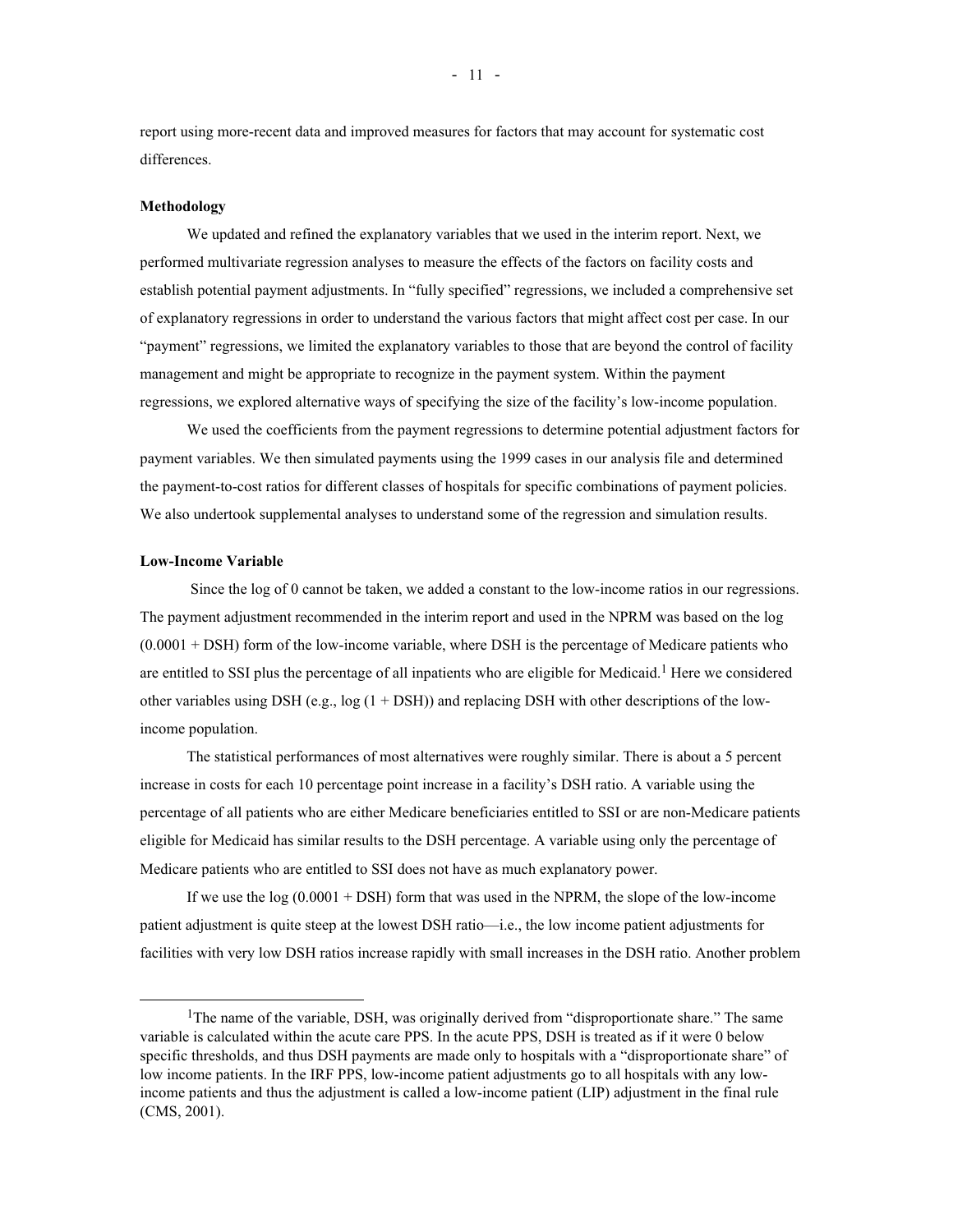report using more-recent data and improved measures for factors that may account for systematic cost differences.

#### **Methodology**

We updated and refined the explanatory variables that we used in the interim report. Next, we performed multivariate regression analyses to measure the effects of the factors on facility costs and establish potential payment adjustments. In "fully specified" regressions, we included a comprehensive set of explanatory regressions in order to understand the various factors that might affect cost per case. In our "payment" regressions, we limited the explanatory variables to those that are beyond the control of facility management and might be appropriate to recognize in the payment system. Within the payment regressions, we explored alternative ways of specifying the size of the facility's low-income population.

We used the coefficients from the payment regressions to determine potential adjustment factors for payment variables. We then simulated payments using the 1999 cases in our analysis file and determined the payment-to-cost ratios for different classes of hospitals for specific combinations of payment policies. We also undertook supplemental analyses to understand some of the regression and simulation results.

#### **Low-Income Variable**

i<br>L

 Since the log of 0 cannot be taken, we added a constant to the low-income ratios in our regressions. The payment adjustment recommended in the interim report and used in the NPRM was based on the log  $(0.0001 + DSH)$  form of the low-income variable, where DSH is the percentage of Medicare patients who are entitled to SSI plus the percentage of all inpatients who are eligible for Medicaid.<sup>1</sup> Here we considered other variables using DSH (e.g.,  $log(1 + DSH)$ ) and replacing DSH with other descriptions of the lowincome population.

The statistical performances of most alternatives were roughly similar. There is about a 5 percent increase in costs for each 10 percentage point increase in a facility's DSH ratio. A variable using the percentage of all patients who are either Medicare beneficiaries entitled to SSI or are non-Medicare patients eligible for Medicaid has similar results to the DSH percentage. A variable using only the percentage of Medicare patients who are entitled to SSI does not have as much explanatory power.

If we use the  $log(0.0001 + DSH)$  form that was used in the NPRM, the slope of the low-income patient adjustment is quite steep at the lowest DSH ratio—i.e., the low income patient adjustments for facilities with very low DSH ratios increase rapidly with small increases in the DSH ratio. Another problem

<sup>&</sup>lt;sup>1</sup>The name of the variable, DSH, was originally derived from "disproportionate share." The same variable is calculated within the acute care PPS. In the acute PPS, DSH is treated as if it were 0 below specific thresholds, and thus DSH payments are made only to hospitals with a "disproportionate share" of low income patients. In the IRF PPS, low-income patient adjustments go to all hospitals with any lowincome patients and thus the adjustment is called a low-income patient (LIP) adjustment in the final rule (CMS, 2001).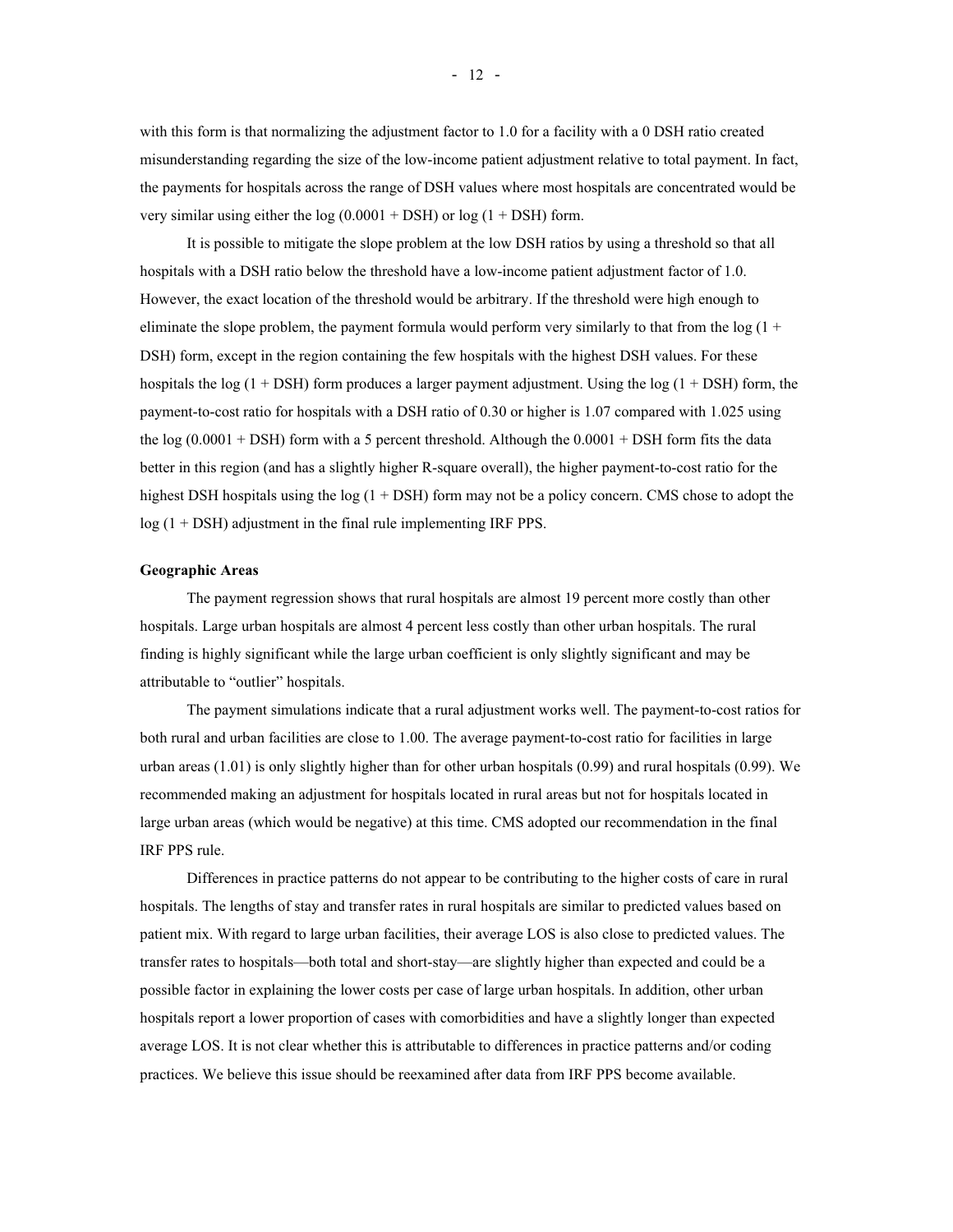with this form is that normalizing the adjustment factor to 1.0 for a facility with a 0 DSH ratio created misunderstanding regarding the size of the low-income patient adjustment relative to total payment. In fact, the payments for hospitals across the range of DSH values where most hospitals are concentrated would be very similar using either the  $log(0.0001 + DSH)$  or  $log(1 + DSH)$  form.

It is possible to mitigate the slope problem at the low DSH ratios by using a threshold so that all hospitals with a DSH ratio below the threshold have a low-income patient adjustment factor of 1.0. However, the exact location of the threshold would be arbitrary. If the threshold were high enough to eliminate the slope problem, the payment formula would perform very similarly to that from the  $log(1 +$ DSH) form, except in the region containing the few hospitals with the highest DSH values. For these hospitals the log  $(1 + DSH)$  form produces a larger payment adjustment. Using the log  $(1 + DSH)$  form, the payment-to-cost ratio for hospitals with a DSH ratio of 0.30 or higher is 1.07 compared with 1.025 using the log  $(0.0001 + DSH)$  form with a 5 percent threshold. Although the  $0.0001 + DSH$  form fits the data better in this region (and has a slightly higher R-square overall), the higher payment-to-cost ratio for the highest DSH hospitals using the log (1 + DSH) form may not be a policy concern. CMS chose to adopt the log (1 + DSH) adjustment in the final rule implementing IRF PPS.

#### **Geographic Areas**

The payment regression shows that rural hospitals are almost 19 percent more costly than other hospitals. Large urban hospitals are almost 4 percent less costly than other urban hospitals. The rural finding is highly significant while the large urban coefficient is only slightly significant and may be attributable to "outlier" hospitals.

The payment simulations indicate that a rural adjustment works well. The payment-to-cost ratios for both rural and urban facilities are close to 1.00. The average payment-to-cost ratio for facilities in large urban areas (1.01) is only slightly higher than for other urban hospitals (0.99) and rural hospitals (0.99). We recommended making an adjustment for hospitals located in rural areas but not for hospitals located in large urban areas (which would be negative) at this time. CMS adopted our recommendation in the final IRF PPS rule.

Differences in practice patterns do not appear to be contributing to the higher costs of care in rural hospitals. The lengths of stay and transfer rates in rural hospitals are similar to predicted values based on patient mix. With regard to large urban facilities, their average LOS is also close to predicted values. The transfer rates to hospitals—both total and short-stay—are slightly higher than expected and could be a possible factor in explaining the lower costs per case of large urban hospitals. In addition, other urban hospitals report a lower proportion of cases with comorbidities and have a slightly longer than expected average LOS. It is not clear whether this is attributable to differences in practice patterns and/or coding practices. We believe this issue should be reexamined after data from IRF PPS become available.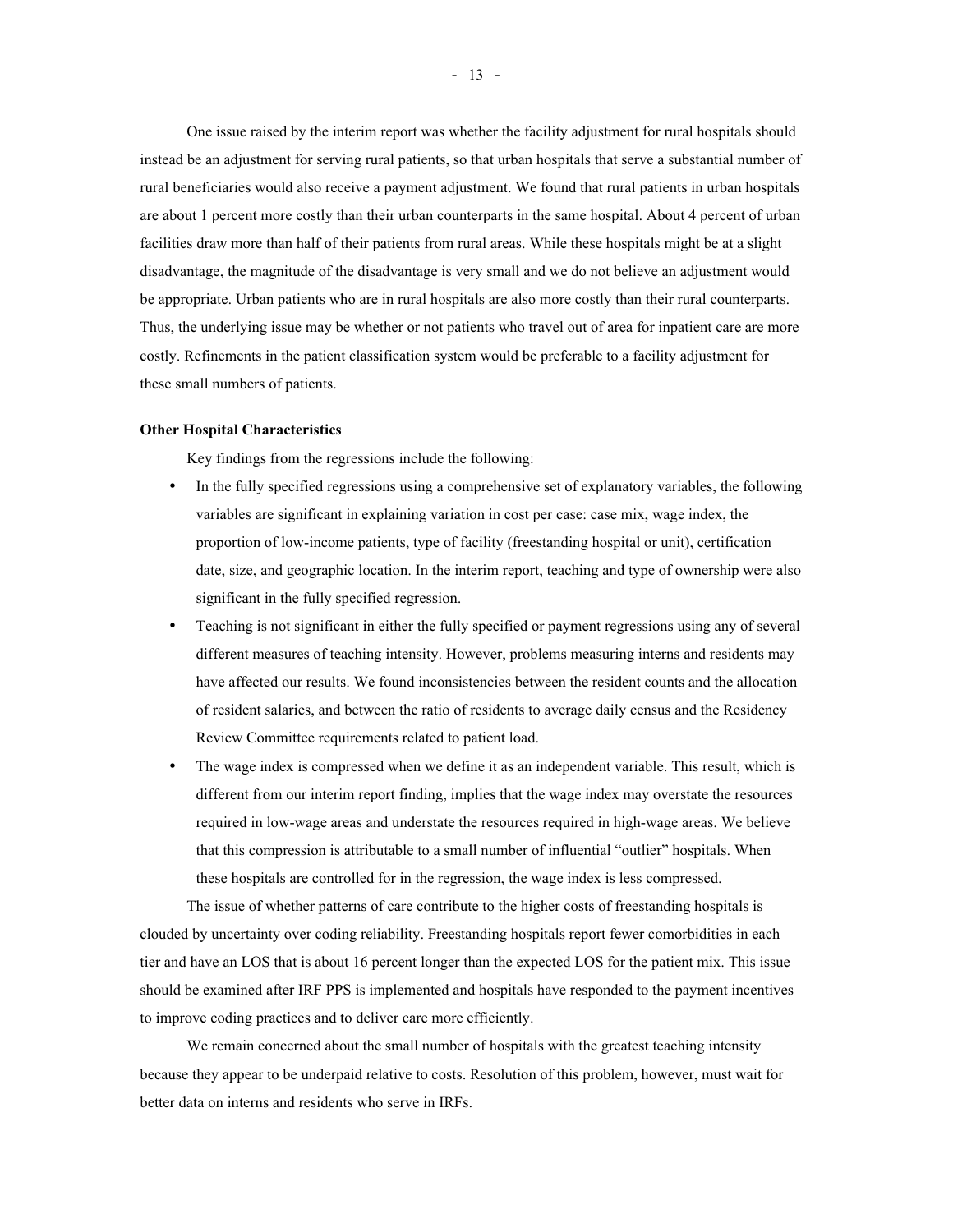One issue raised by the interim report was whether the facility adjustment for rural hospitals should instead be an adjustment for serving rural patients, so that urban hospitals that serve a substantial number of rural beneficiaries would also receive a payment adjustment. We found that rural patients in urban hospitals are about 1 percent more costly than their urban counterparts in the same hospital. About 4 percent of urban facilities draw more than half of their patients from rural areas. While these hospitals might be at a slight disadvantage, the magnitude of the disadvantage is very small and we do not believe an adjustment would be appropriate. Urban patients who are in rural hospitals are also more costly than their rural counterparts. Thus, the underlying issue may be whether or not patients who travel out of area for inpatient care are more costly. Refinements in the patient classification system would be preferable to a facility adjustment for these small numbers of patients.

#### **Other Hospital Characteristics**

Key findings from the regressions include the following:

- In the fully specified regressions using a comprehensive set of explanatory variables, the following variables are significant in explaining variation in cost per case: case mix, wage index, the proportion of low-income patients, type of facility (freestanding hospital or unit), certification date, size, and geographic location. In the interim report, teaching and type of ownership were also significant in the fully specified regression.
- Teaching is not significant in either the fully specified or payment regressions using any of several different measures of teaching intensity. However, problems measuring interns and residents may have affected our results. We found inconsistencies between the resident counts and the allocation of resident salaries, and between the ratio of residents to average daily census and the Residency Review Committee requirements related to patient load.
- The wage index is compressed when we define it as an independent variable. This result, which is different from our interim report finding, implies that the wage index may overstate the resources required in low-wage areas and understate the resources required in high-wage areas. We believe that this compression is attributable to a small number of influential "outlier" hospitals. When these hospitals are controlled for in the regression, the wage index is less compressed.

The issue of whether patterns of care contribute to the higher costs of freestanding hospitals is clouded by uncertainty over coding reliability. Freestanding hospitals report fewer comorbidities in each tier and have an LOS that is about 16 percent longer than the expected LOS for the patient mix. This issue should be examined after IRF PPS is implemented and hospitals have responded to the payment incentives to improve coding practices and to deliver care more efficiently.

We remain concerned about the small number of hospitals with the greatest teaching intensity because they appear to be underpaid relative to costs. Resolution of this problem, however, must wait for better data on interns and residents who serve in IRFs.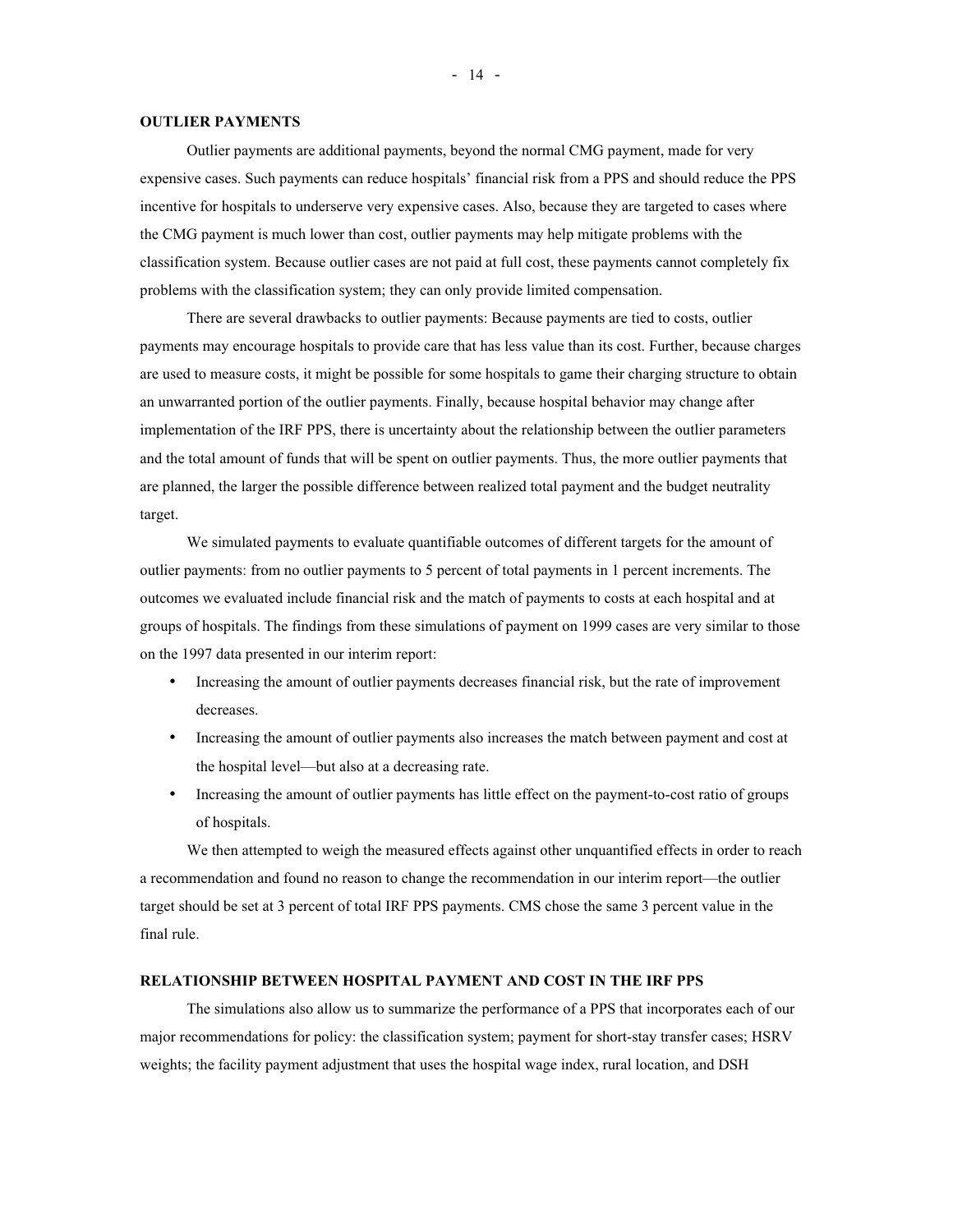#### **OUTLIER PAYMENTS**

Outlier payments are additional payments, beyond the normal CMG payment, made for very expensive cases. Such payments can reduce hospitals' financial risk from a PPS and should reduce the PPS incentive for hospitals to underserve very expensive cases. Also, because they are targeted to cases where the CMG payment is much lower than cost, outlier payments may help mitigate problems with the classification system. Because outlier cases are not paid at full cost, these payments cannot completely fix problems with the classification system; they can only provide limited compensation.

There are several drawbacks to outlier payments: Because payments are tied to costs, outlier payments may encourage hospitals to provide care that has less value than its cost. Further, because charges are used to measure costs, it might be possible for some hospitals to game their charging structure to obtain an unwarranted portion of the outlier payments. Finally, because hospital behavior may change after implementation of the IRF PPS, there is uncertainty about the relationship between the outlier parameters and the total amount of funds that will be spent on outlier payments. Thus, the more outlier payments that are planned, the larger the possible difference between realized total payment and the budget neutrality target.

We simulated payments to evaluate quantifiable outcomes of different targets for the amount of outlier payments: from no outlier payments to 5 percent of total payments in 1 percent increments. The outcomes we evaluated include financial risk and the match of payments to costs at each hospital and at groups of hospitals. The findings from these simulations of payment on 1999 cases are very similar to those on the 1997 data presented in our interim report:

- Increasing the amount of outlier payments decreases financial risk, but the rate of improvement decreases.
- Increasing the amount of outlier payments also increases the match between payment and cost at the hospital level—but also at a decreasing rate.
- Increasing the amount of outlier payments has little effect on the payment-to-cost ratio of groups of hospitals.

We then attempted to weigh the measured effects against other unquantified effects in order to reach a recommendation and found no reason to change the recommendation in our interim report—the outlier target should be set at 3 percent of total IRF PPS payments. CMS chose the same 3 percent value in the final rule.

#### **RELATIONSHIP BETWEEN HOSPITAL PAYMENT AND COST IN THE IRF PPS**

The simulations also allow us to summarize the performance of a PPS that incorporates each of our major recommendations for policy: the classification system; payment for short-stay transfer cases; HSRV weights; the facility payment adjustment that uses the hospital wage index, rural location, and DSH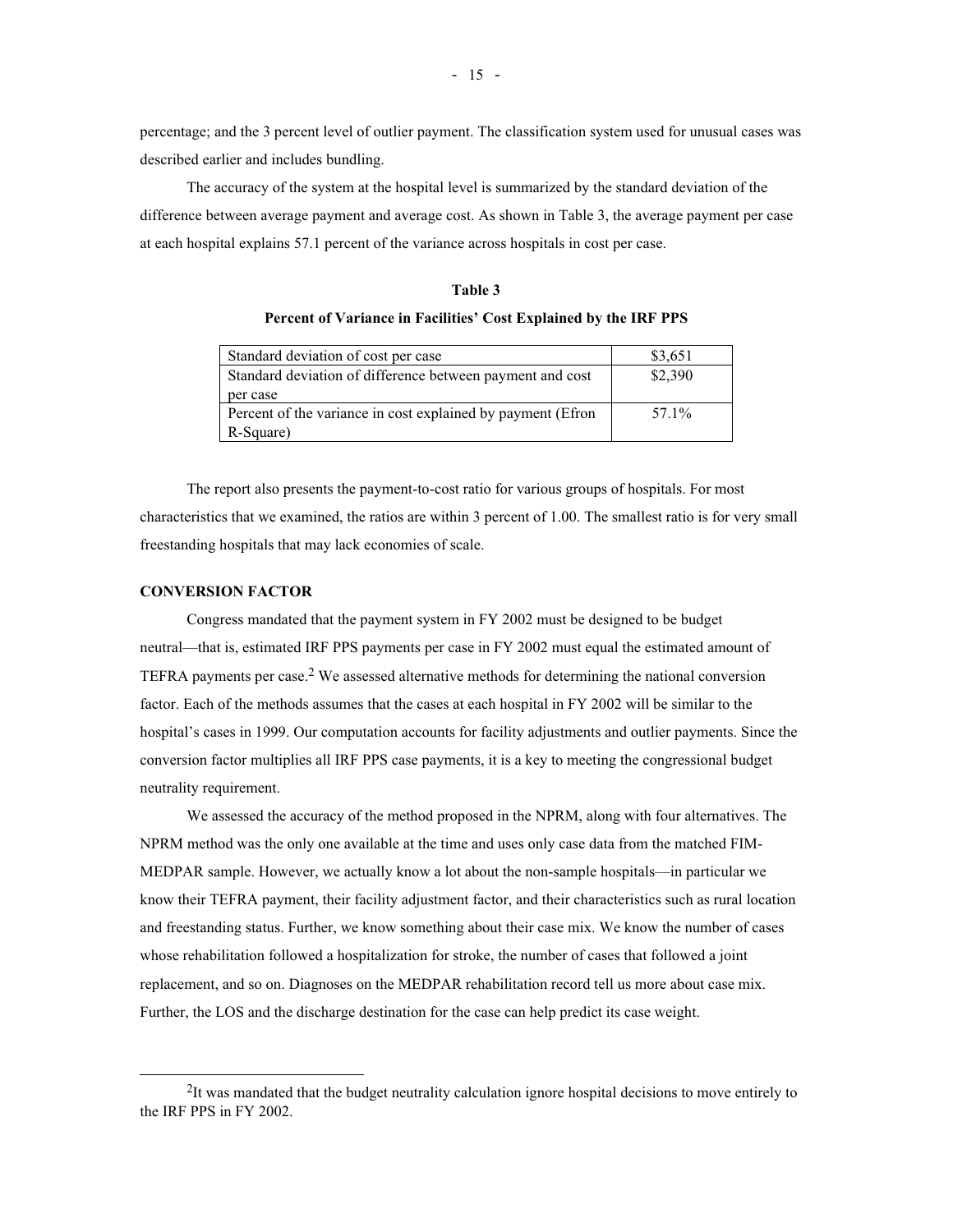percentage; and the 3 percent level of outlier payment. The classification system used for unusual cases was described earlier and includes bundling.

The accuracy of the system at the hospital level is summarized by the standard deviation of the difference between average payment and average cost. As shown in Table 3, the average payment per case at each hospital explains 57.1 percent of the variance across hospitals in cost per case.

# **Table 3 Percent of Variance in Facilities' Cost Explained by the IRF PPS**

| Standard deviation of cost per case                         | \$3,651 |
|-------------------------------------------------------------|---------|
| Standard deviation of difference between payment and cost   | \$2,390 |
| per case                                                    |         |
| Percent of the variance in cost explained by payment (Efron | 57.1%   |
| R-Square)                                                   |         |

The report also presents the payment-to-cost ratio for various groups of hospitals. For most characteristics that we examined, the ratios are within 3 percent of 1.00. The smallest ratio is for very small freestanding hospitals that may lack economies of scale.

## **CONVERSION FACTOR**

i<br>L

Congress mandated that the payment system in FY 2002 must be designed to be budget neutral—that is, estimated IRF PPS payments per case in FY 2002 must equal the estimated amount of TEFRA payments per case.<sup>2</sup> We assessed alternative methods for determining the national conversion factor. Each of the methods assumes that the cases at each hospital in FY 2002 will be similar to the hospital's cases in 1999. Our computation accounts for facility adjustments and outlier payments. Since the conversion factor multiplies all IRF PPS case payments, it is a key to meeting the congressional budget neutrality requirement.

We assessed the accuracy of the method proposed in the NPRM, along with four alternatives. The NPRM method was the only one available at the time and uses only case data from the matched FIM-MEDPAR sample. However, we actually know a lot about the non-sample hospitals—in particular we know their TEFRA payment, their facility adjustment factor, and their characteristics such as rural location and freestanding status. Further, we know something about their case mix. We know the number of cases whose rehabilitation followed a hospitalization for stroke, the number of cases that followed a joint replacement, and so on. Diagnoses on the MEDPAR rehabilitation record tell us more about case mix. Further, the LOS and the discharge destination for the case can help predict its case weight.

<sup>&</sup>lt;sup>2</sup>It was mandated that the budget neutrality calculation ignore hospital decisions to move entirely to the IRF PPS in FY 2002.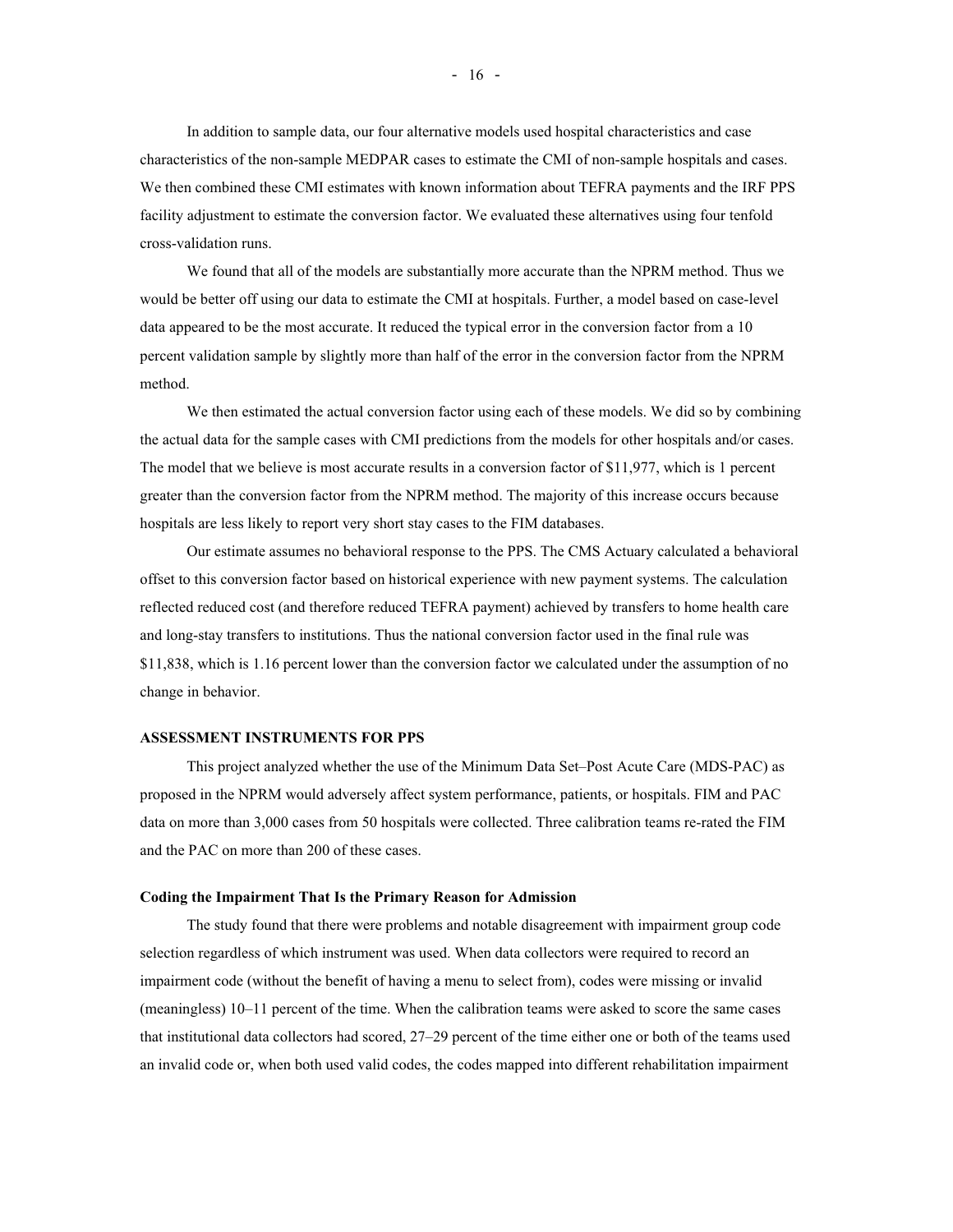In addition to sample data, our four alternative models used hospital characteristics and case characteristics of the non-sample MEDPAR cases to estimate the CMI of non-sample hospitals and cases. We then combined these CMI estimates with known information about TEFRA payments and the IRF PPS facility adjustment to estimate the conversion factor. We evaluated these alternatives using four tenfold cross-validation runs.

We found that all of the models are substantially more accurate than the NPRM method. Thus we would be better off using our data to estimate the CMI at hospitals. Further, a model based on case-level data appeared to be the most accurate. It reduced the typical error in the conversion factor from a 10 percent validation sample by slightly more than half of the error in the conversion factor from the NPRM method.

We then estimated the actual conversion factor using each of these models. We did so by combining the actual data for the sample cases with CMI predictions from the models for other hospitals and/or cases. The model that we believe is most accurate results in a conversion factor of \$11,977, which is 1 percent greater than the conversion factor from the NPRM method. The majority of this increase occurs because hospitals are less likely to report very short stay cases to the FIM databases.

Our estimate assumes no behavioral response to the PPS. The CMS Actuary calculated a behavioral offset to this conversion factor based on historical experience with new payment systems. The calculation reflected reduced cost (and therefore reduced TEFRA payment) achieved by transfers to home health care and long-stay transfers to institutions. Thus the national conversion factor used in the final rule was \$11,838, which is 1.16 percent lower than the conversion factor we calculated under the assumption of no change in behavior.

#### **ASSESSMENT INSTRUMENTS FOR PPS**

This project analyzed whether the use of the Minimum Data Set–Post Acute Care (MDS-PAC) as proposed in the NPRM would adversely affect system performance, patients, or hospitals. FIM and PAC data on more than 3,000 cases from 50 hospitals were collected. Three calibration teams re-rated the FIM and the PAC on more than 200 of these cases.

#### **Coding the Impairment That Is the Primary Reason for Admission**

The study found that there were problems and notable disagreement with impairment group code selection regardless of which instrument was used. When data collectors were required to record an impairment code (without the benefit of having a menu to select from), codes were missing or invalid (meaningless) 10–11 percent of the time. When the calibration teams were asked to score the same cases that institutional data collectors had scored, 27–29 percent of the time either one or both of the teams used an invalid code or, when both used valid codes, the codes mapped into different rehabilitation impairment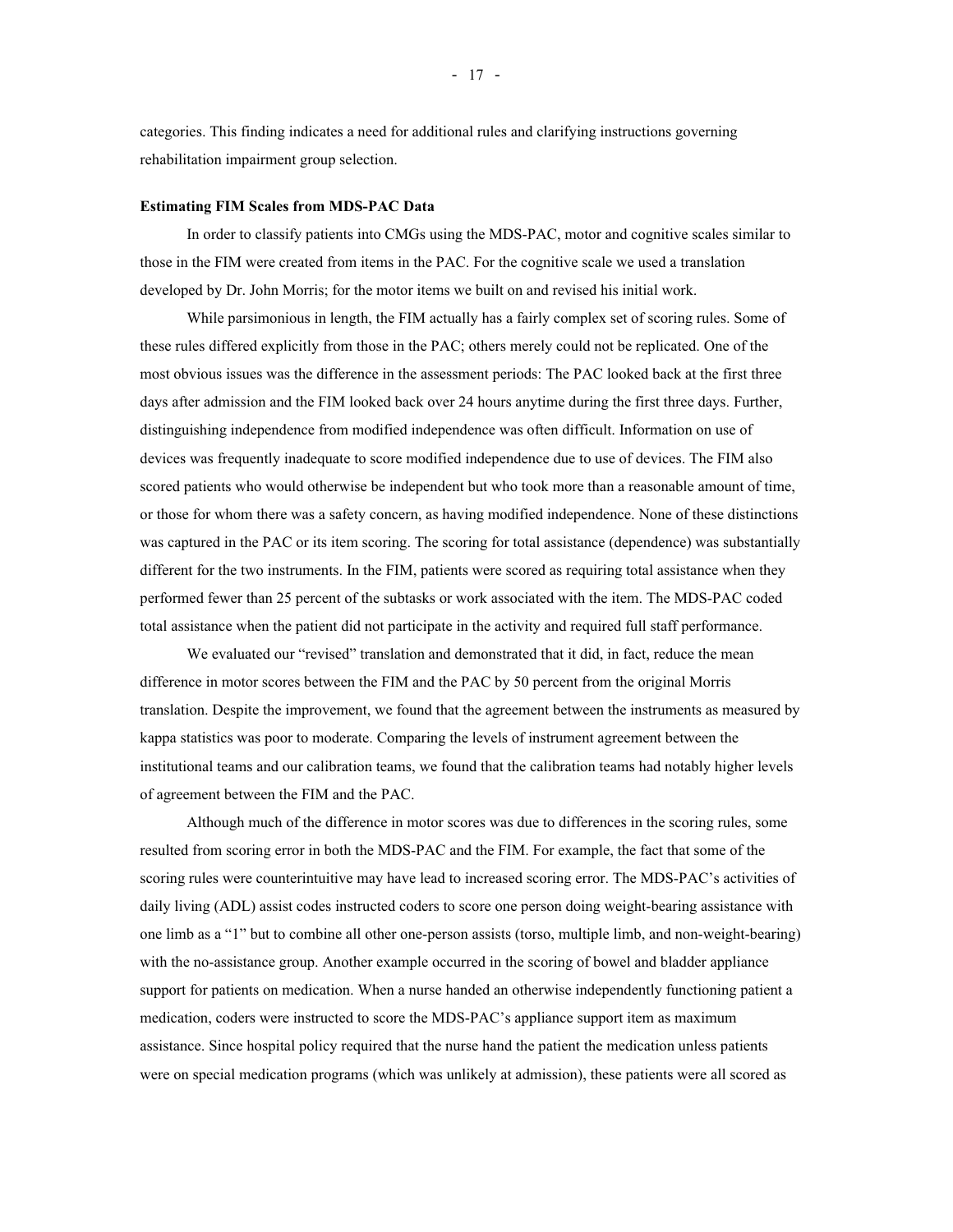categories. This finding indicates a need for additional rules and clarifying instructions governing rehabilitation impairment group selection.

#### **Estimating FIM Scales from MDS-PAC Data**

In order to classify patients into CMGs using the MDS-PAC, motor and cognitive scales similar to those in the FIM were created from items in the PAC. For the cognitive scale we used a translation developed by Dr. John Morris; for the motor items we built on and revised his initial work.

While parsimonious in length, the FIM actually has a fairly complex set of scoring rules. Some of these rules differed explicitly from those in the PAC; others merely could not be replicated. One of the most obvious issues was the difference in the assessment periods: The PAC looked back at the first three days after admission and the FIM looked back over 24 hours anytime during the first three days. Further, distinguishing independence from modified independence was often difficult. Information on use of devices was frequently inadequate to score modified independence due to use of devices. The FIM also scored patients who would otherwise be independent but who took more than a reasonable amount of time, or those for whom there was a safety concern, as having modified independence. None of these distinctions was captured in the PAC or its item scoring. The scoring for total assistance (dependence) was substantially different for the two instruments. In the FIM, patients were scored as requiring total assistance when they performed fewer than 25 percent of the subtasks or work associated with the item. The MDS-PAC coded total assistance when the patient did not participate in the activity and required full staff performance.

We evaluated our "revised" translation and demonstrated that it did, in fact, reduce the mean difference in motor scores between the FIM and the PAC by 50 percent from the original Morris translation. Despite the improvement, we found that the agreement between the instruments as measured by kappa statistics was poor to moderate. Comparing the levels of instrument agreement between the institutional teams and our calibration teams, we found that the calibration teams had notably higher levels of agreement between the FIM and the PAC.

Although much of the difference in motor scores was due to differences in the scoring rules, some resulted from scoring error in both the MDS-PAC and the FIM. For example, the fact that some of the scoring rules were counterintuitive may have lead to increased scoring error. The MDS-PAC's activities of daily living (ADL) assist codes instructed coders to score one person doing weight-bearing assistance with one limb as a "1" but to combine all other one-person assists (torso, multiple limb, and non-weight-bearing) with the no-assistance group. Another example occurred in the scoring of bowel and bladder appliance support for patients on medication. When a nurse handed an otherwise independently functioning patient a medication, coders were instructed to score the MDS-PAC's appliance support item as maximum assistance. Since hospital policy required that the nurse hand the patient the medication unless patients were on special medication programs (which was unlikely at admission), these patients were all scored as

- 17 -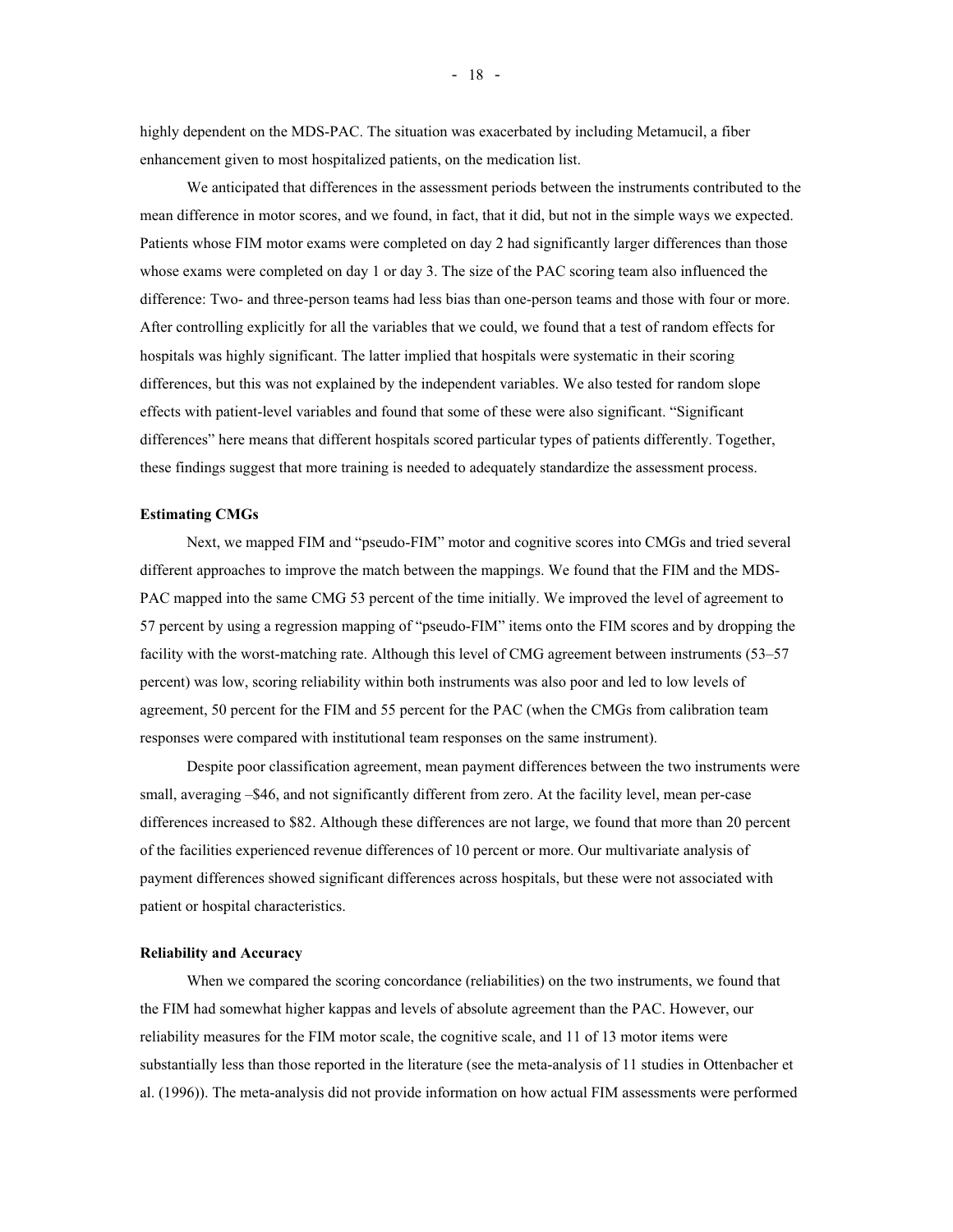highly dependent on the MDS-PAC. The situation was exacerbated by including Metamucil, a fiber enhancement given to most hospitalized patients, on the medication list.

We anticipated that differences in the assessment periods between the instruments contributed to the mean difference in motor scores, and we found, in fact, that it did, but not in the simple ways we expected. Patients whose FIM motor exams were completed on day 2 had significantly larger differences than those whose exams were completed on day 1 or day 3. The size of the PAC scoring team also influenced the difference: Two- and three-person teams had less bias than one-person teams and those with four or more. After controlling explicitly for all the variables that we could, we found that a test of random effects for hospitals was highly significant. The latter implied that hospitals were systematic in their scoring differences, but this was not explained by the independent variables. We also tested for random slope effects with patient-level variables and found that some of these were also significant. "Significant differences" here means that different hospitals scored particular types of patients differently. Together, these findings suggest that more training is needed to adequately standardize the assessment process.

#### **Estimating CMGs**

Next, we mapped FIM and "pseudo-FIM" motor and cognitive scores into CMGs and tried several different approaches to improve the match between the mappings. We found that the FIM and the MDS-PAC mapped into the same CMG 53 percent of the time initially. We improved the level of agreement to 57 percent by using a regression mapping of "pseudo-FIM" items onto the FIM scores and by dropping the facility with the worst-matching rate. Although this level of CMG agreement between instruments (53–57 percent) was low, scoring reliability within both instruments was also poor and led to low levels of agreement, 50 percent for the FIM and 55 percent for the PAC (when the CMGs from calibration team responses were compared with institutional team responses on the same instrument).

Despite poor classification agreement, mean payment differences between the two instruments were small, averaging -\$46, and not significantly different from zero. At the facility level, mean per-case differences increased to \$82. Although these differences are not large, we found that more than 20 percent of the facilities experienced revenue differences of 10 percent or more. Our multivariate analysis of payment differences showed significant differences across hospitals, but these were not associated with patient or hospital characteristics.

#### **Reliability and Accuracy**

When we compared the scoring concordance (reliabilities) on the two instruments, we found that the FIM had somewhat higher kappas and levels of absolute agreement than the PAC. However, our reliability measures for the FIM motor scale, the cognitive scale, and 11 of 13 motor items were substantially less than those reported in the literature (see the meta-analysis of 11 studies in Ottenbacher et al. (1996)). The meta-analysis did not provide information on how actual FIM assessments were performed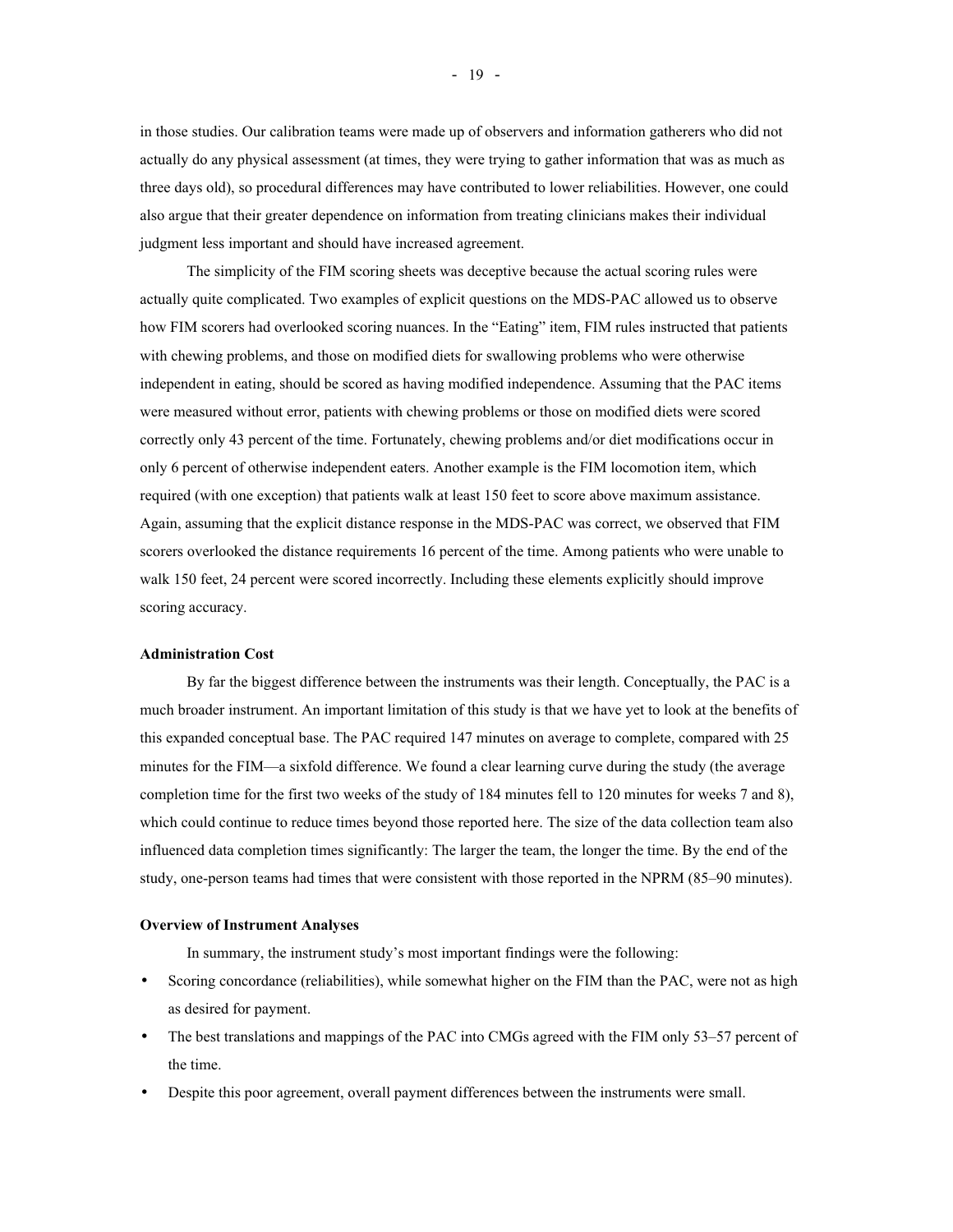in those studies. Our calibration teams were made up of observers and information gatherers who did not actually do any physical assessment (at times, they were trying to gather information that was as much as three days old), so procedural differences may have contributed to lower reliabilities. However, one could also argue that their greater dependence on information from treating clinicians makes their individual judgment less important and should have increased agreement.

The simplicity of the FIM scoring sheets was deceptive because the actual scoring rules were actually quite complicated. Two examples of explicit questions on the MDS-PAC allowed us to observe how FIM scorers had overlooked scoring nuances. In the "Eating" item, FIM rules instructed that patients with chewing problems, and those on modified diets for swallowing problems who were otherwise independent in eating, should be scored as having modified independence. Assuming that the PAC items were measured without error, patients with chewing problems or those on modified diets were scored correctly only 43 percent of the time. Fortunately, chewing problems and/or diet modifications occur in only 6 percent of otherwise independent eaters. Another example is the FIM locomotion item, which required (with one exception) that patients walk at least 150 feet to score above maximum assistance. Again, assuming that the explicit distance response in the MDS-PAC was correct, we observed that FIM scorers overlooked the distance requirements 16 percent of the time. Among patients who were unable to walk 150 feet, 24 percent were scored incorrectly. Including these elements explicitly should improve scoring accuracy.

#### **Administration Cost**

By far the biggest difference between the instruments was their length. Conceptually, the PAC is a much broader instrument. An important limitation of this study is that we have yet to look at the benefits of this expanded conceptual base. The PAC required 147 minutes on average to complete, compared with 25 minutes for the FIM—a sixfold difference. We found a clear learning curve during the study (the average completion time for the first two weeks of the study of 184 minutes fell to 120 minutes for weeks 7 and 8), which could continue to reduce times beyond those reported here. The size of the data collection team also influenced data completion times significantly: The larger the team, the longer the time. By the end of the study, one-person teams had times that were consistent with those reported in the NPRM (85–90 minutes).

#### **Overview of Instrument Analyses**

In summary, the instrument study's most important findings were the following:

- Scoring concordance (reliabilities), while somewhat higher on the FIM than the PAC, were not as high as desired for payment.
- The best translations and mappings of the PAC into CMGs agreed with the FIM only 53–57 percent of the time.
- Despite this poor agreement, overall payment differences between the instruments were small.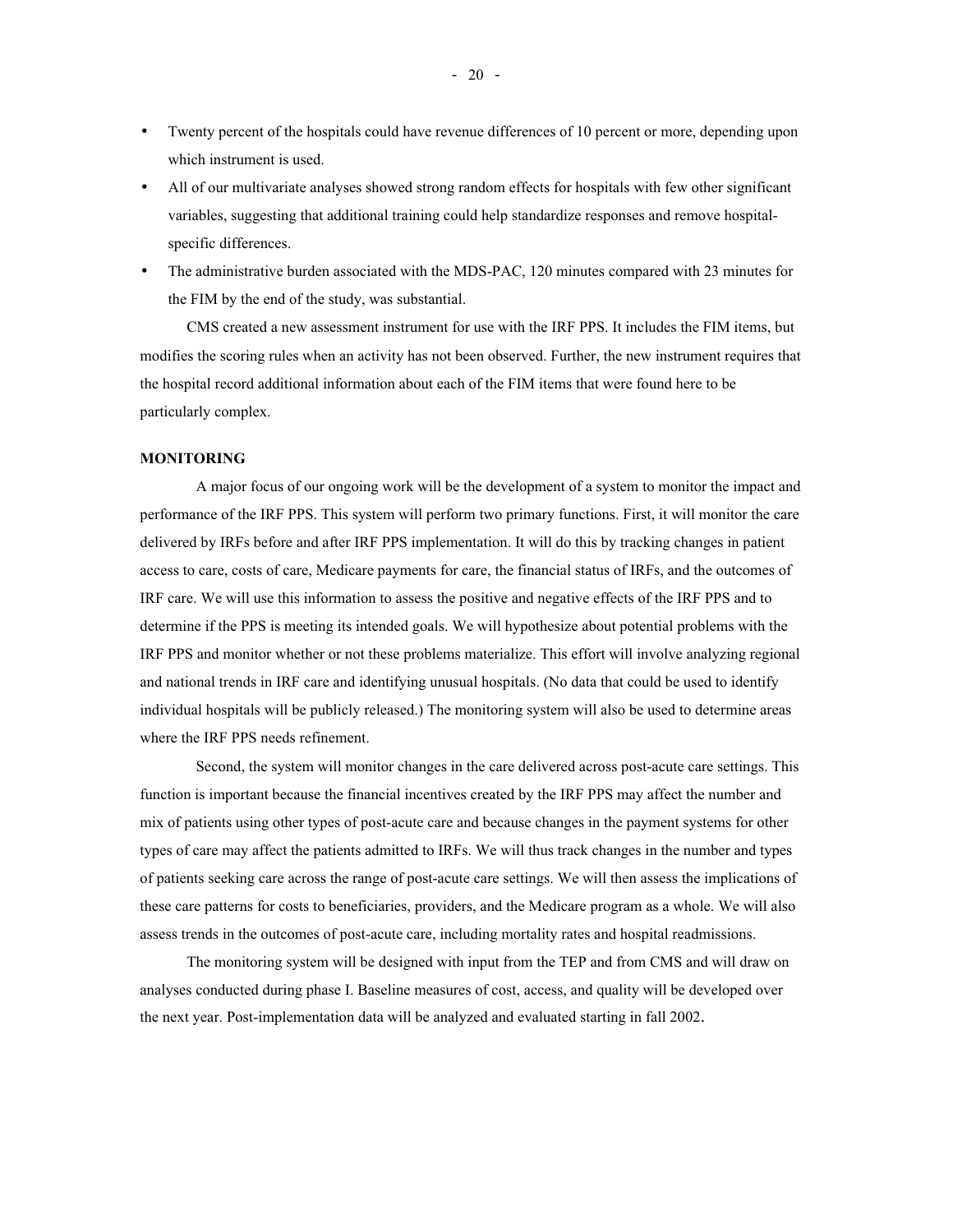- Twenty percent of the hospitals could have revenue differences of 10 percent or more, depending upon which instrument is used.
- All of our multivariate analyses showed strong random effects for hospitals with few other significant variables, suggesting that additional training could help standardize responses and remove hospitalspecific differences.
- The administrative burden associated with the MDS-PAC, 120 minutes compared with 23 minutes for the FIM by the end of the study, was substantial.

CMS created a new assessment instrument for use with the IRF PPS. It includes the FIM items, but modifies the scoring rules when an activity has not been observed. Further, the new instrument requires that the hospital record additional information about each of the FIM items that were found here to be particularly complex.

#### **MONITORING**

A major focus of our ongoing work will be the development of a system to monitor the impact and performance of the IRF PPS. This system will perform two primary functions. First, it will monitor the care delivered by IRFs before and after IRF PPS implementation. It will do this by tracking changes in patient access to care, costs of care, Medicare payments for care, the financial status of IRFs, and the outcomes of IRF care. We will use this information to assess the positive and negative effects of the IRF PPS and to determine if the PPS is meeting its intended goals. We will hypothesize about potential problems with the IRF PPS and monitor whether or not these problems materialize. This effort will involve analyzing regional and national trends in IRF care and identifying unusual hospitals. (No data that could be used to identify individual hospitals will be publicly released.) The monitoring system will also be used to determine areas where the IRF PPS needs refinement.

Second, the system will monitor changes in the care delivered across post-acute care settings. This function is important because the financial incentives created by the IRF PPS may affect the number and mix of patients using other types of post-acute care and because changes in the payment systems for other types of care may affect the patients admitted to IRFs. We will thus track changes in the number and types of patients seeking care across the range of post-acute care settings. We will then assess the implications of these care patterns for costs to beneficiaries, providers, and the Medicare program as a whole. We will also assess trends in the outcomes of post-acute care, including mortality rates and hospital readmissions.

The monitoring system will be designed with input from the TEP and from CMS and will draw on analyses conducted during phase I. Baseline measures of cost, access, and quality will be developed over the next year. Post-implementation data will be analyzed and evaluated starting in fall 2002.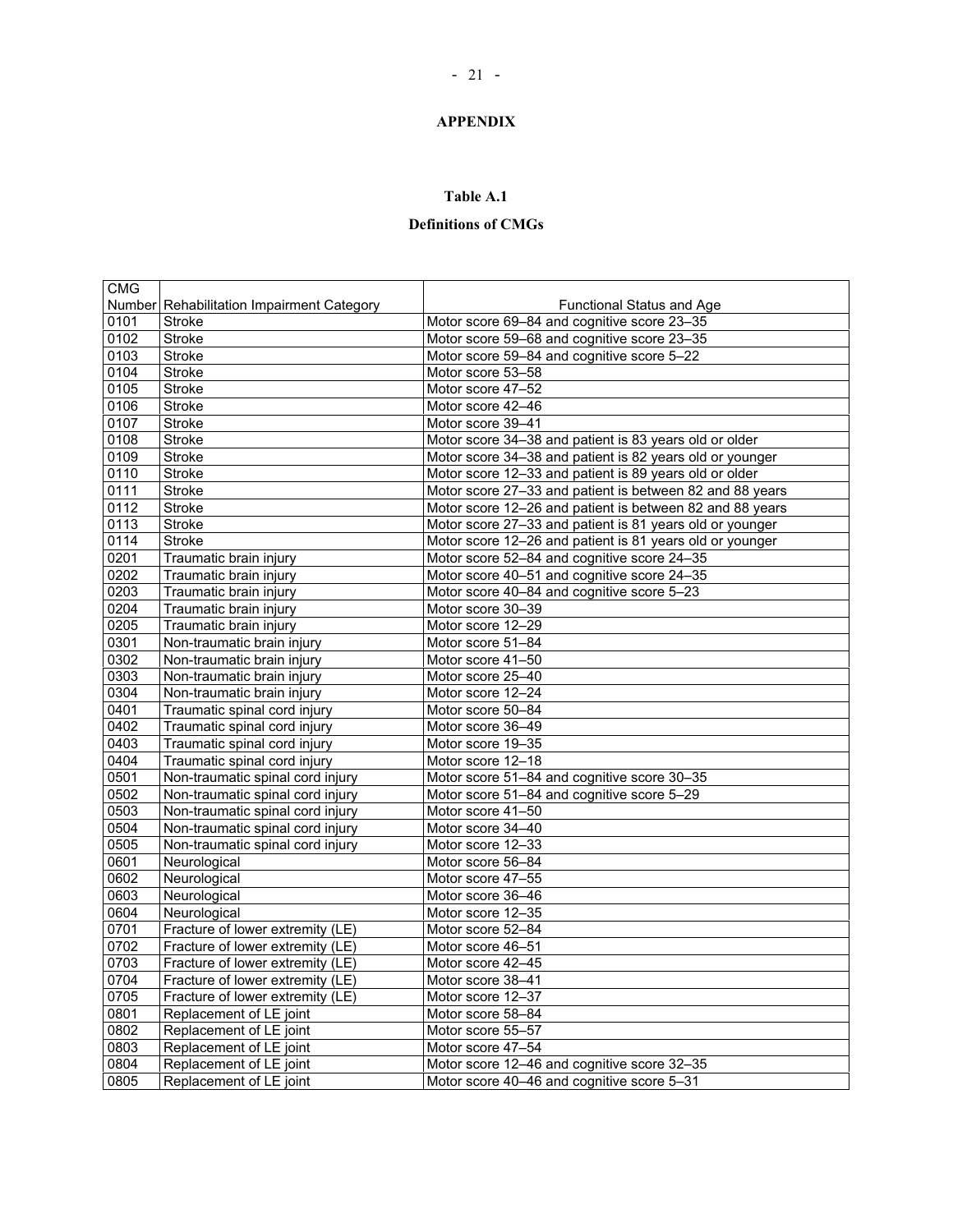## **APPENDIX**

## **Table A.1**

# **Definitions of CMGs**

| <b>CMG</b> |                                           |                                                          |
|------------|-------------------------------------------|----------------------------------------------------------|
|            | Number Rehabilitation Impairment Category | <b>Functional Status and Age</b>                         |
| 0101       | <b>Stroke</b>                             | Motor score 69-84 and cognitive score 23-35              |
| 0102       | <b>Stroke</b>                             | Motor score 59-68 and cognitive score 23-35              |
| 0103       | <b>Stroke</b>                             | Motor score 59-84 and cognitive score 5-22               |
| 0104       | <b>Stroke</b>                             | Motor score 53-58                                        |
| 0105       | <b>Stroke</b>                             | Motor score 47-52                                        |
| 0106       | <b>Stroke</b>                             | Motor score 42-46                                        |
| 0107       | <b>Stroke</b>                             | Motor score 39-41                                        |
| 0108       | <b>Stroke</b>                             | Motor score 34-38 and patient is 83 years old or older   |
| 0109       | Stroke                                    | Motor score 34-38 and patient is 82 years old or younger |
| 0110       | Stroke                                    | Motor score 12-33 and patient is 89 years old or older   |
| 0111       | <b>Stroke</b>                             | Motor score 27-33 and patient is between 82 and 88 years |
| 0112       | <b>Stroke</b>                             | Motor score 12-26 and patient is between 82 and 88 years |
| 0113       | <b>Stroke</b>                             | Motor score 27-33 and patient is 81 years old or younger |
| 0114       | <b>Stroke</b>                             | Motor score 12-26 and patient is 81 years old or younger |
| 0201       | Traumatic brain injury                    | Motor score 52-84 and cognitive score 24-35              |
| 0202       | Traumatic brain injury                    | Motor score 40-51 and cognitive score 24-35              |
| 0203       | Traumatic brain injury                    | Motor score 40-84 and cognitive score 5-23               |
| 0204       | Traumatic brain injury                    | Motor score 30-39                                        |
| 0205       | Traumatic brain injury                    | Motor score 12-29                                        |
| 0301       | Non-traumatic brain injury                | Motor score 51-84                                        |
| 0302       | Non-traumatic brain injury                | Motor score 41-50                                        |
| 0303       | Non-traumatic brain injury                | Motor score 25-40                                        |
| 0304       | Non-traumatic brain injury                | Motor score 12-24                                        |
| 0401       | Traumatic spinal cord injury              | Motor score 50-84                                        |
| 0402       | Traumatic spinal cord injury              | Motor score 36-49                                        |
| 0403       | Traumatic spinal cord injury              | Motor score 19-35                                        |
| 0404       | Traumatic spinal cord injury              | Motor score 12-18                                        |
| 0501       | Non-traumatic spinal cord injury          | Motor score 51-84 and cognitive score 30-35              |
| 0502       | Non-traumatic spinal cord injury          | Motor score 51-84 and cognitive score 5-29               |
| 0503       | Non-traumatic spinal cord injury          | Motor score 41-50                                        |
| 0504       | Non-traumatic spinal cord injury          | Motor score 34-40                                        |
| 0505       | Non-traumatic spinal cord injury          | Motor score 12-33                                        |
| 0601       | Neurological                              | Motor score 56-84                                        |
| 0602       | Neurological                              | Motor score 47-55                                        |
| 0603       | Neurological                              | Motor score 36-46                                        |
| 0604       | Neurological                              | Motor score 12-35                                        |
| 0701       | Fracture of lower extremity (LE)          | Motor score 52-84                                        |
| 0702       | Fracture of lower extremity (LE)          | Motor score 46-51                                        |
| 0703       | Fracture of lower extremity (LE)          | Motor score 42-45                                        |
| 0704       | Fracture of lower extremity (LE)          | Motor score 38-41                                        |
| 0705       | Fracture of lower extremity (LE)          | Motor score 12-37                                        |
| 0801       | Replacement of LE joint                   | Motor score 58-84                                        |
| 0802       | Replacement of LE joint                   | Motor score 55-57                                        |
| 0803       | Replacement of LE joint                   | Motor score 47-54                                        |
| 0804       | Replacement of LE joint                   | Motor score 12-46 and cognitive score 32-35              |
| 0805       | Replacement of LE joint                   | Motor score 40-46 and cognitive score 5-31               |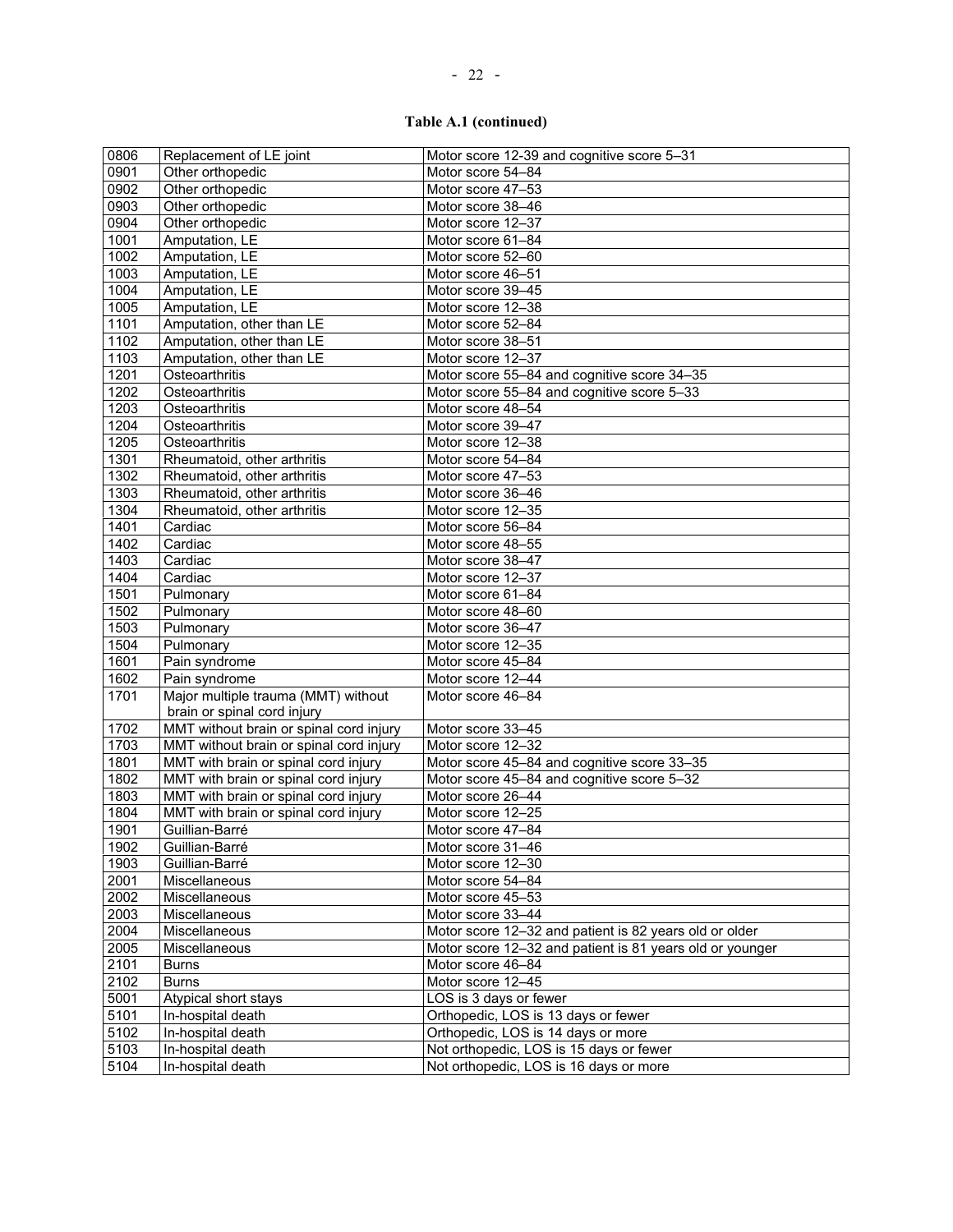# **Table A.1 (continued)**

| 0806                                         | Replacement of LE joint                 | Motor score 12-39 and cognitive score 5-31                                    |
|----------------------------------------------|-----------------------------------------|-------------------------------------------------------------------------------|
| 0901                                         | Other orthopedic                        | Motor score 54-84                                                             |
| 0902                                         | Other orthopedic                        | Motor score 47-53                                                             |
| 0903                                         | Other orthopedic                        | Motor score 38-46                                                             |
| 0904                                         | Other orthopedic                        | Motor score 12-37                                                             |
| 1001                                         | Amputation, LE                          | Motor score 61-84                                                             |
| 1002                                         | Amputation, LE                          | Motor score 52-60                                                             |
| 1003                                         | Amputation, LE                          | Motor score 46-51                                                             |
| 1004                                         | Amputation, LE                          | Motor score 39-45                                                             |
| 1005                                         | Amputation, LE                          | Motor score 12-38                                                             |
| 1101                                         | Amputation, other than LE               | Motor score 52-84                                                             |
| 1102                                         | Amputation, other than LE               | Motor score 38-51                                                             |
| 1103                                         | Amputation, other than LE               | Motor score 12-37                                                             |
| 1201                                         | Osteoarthritis                          | Motor score 55-84 and cognitive score 34-35                                   |
| 1202                                         | Osteoarthritis                          | Motor score 55-84 and cognitive score 5-33                                    |
| 1203                                         | Osteoarthritis                          | Motor score 48-54                                                             |
| 1204                                         | Osteoarthritis                          | Motor score 39-47                                                             |
| 1205                                         | Osteoarthritis                          | Motor score 12-38                                                             |
| 1301                                         | Rheumatoid, other arthritis             | Motor score 54-84                                                             |
| 1302                                         | Rheumatoid, other arthritis             | Motor score 47-53                                                             |
| 1303                                         | Rheumatoid, other arthritis             | Motor score 36-46                                                             |
| 1304                                         | Rheumatoid, other arthritis             | Motor score 12-35                                                             |
| 1401                                         | Cardiac                                 | Motor score 56-84                                                             |
| 1402                                         | Cardiac                                 | Motor score 48-55                                                             |
| 1403                                         | Cardiac                                 | Motor score 38-47                                                             |
| 1404                                         | Cardiac                                 | Motor score 12-37                                                             |
| 1501                                         | Pulmonary                               | Motor score 61-84                                                             |
| 1502                                         | Pulmonary                               | Motor score 48-60                                                             |
| 1503                                         | Pulmonary                               | Motor score 36-47                                                             |
| 1504                                         | Pulmonary                               | Motor score 12-35                                                             |
| 1601                                         | Pain syndrome                           | Motor score 45-84                                                             |
| 1602                                         | Pain syndrome                           | Motor score 12-44                                                             |
| 1701                                         | Major multiple trauma (MMT) without     | Motor score 46-84                                                             |
|                                              | brain or spinal cord injury             |                                                                               |
| 1702                                         | MMT without brain or spinal cord injury | Motor score 33-45                                                             |
| 1703                                         | MMT without brain or spinal cord injury | Motor score 12-32                                                             |
| 1801                                         | MMT with brain or spinal cord injury    | Motor score 45-84 and cognitive score 33-35                                   |
| 1802                                         | MMT with brain or spinal cord injury    | Motor score 45–84 and cognitive score 5–32                                    |
| 1803                                         | MMT with brain or spinal cord injury    | Motor score 26-44                                                             |
| 1804                                         | MMT with brain or spinal cord injury    | Motor score 12-25                                                             |
| 1901                                         | Guillian-Barré                          | Motor score 47-84                                                             |
| 1902                                         | Guillian-Barré                          | Motor score 31-46                                                             |
| 1903                                         | Guillian-Barré                          | Motor score 12-30                                                             |
| 2001                                         | Miscellaneous                           | Motor score 54-84                                                             |
|                                              |                                         |                                                                               |
|                                              | Miscellaneous                           | Motor score 45-53                                                             |
|                                              | Miscellaneous                           | Motor score 33-44                                                             |
|                                              | Miscellaneous                           | Motor score 12-32 and patient is 82 years old or older                        |
|                                              | Miscellaneous                           | Motor score 12-32 and patient is 81 years old or younger                      |
|                                              | <b>Burns</b>                            | Motor score 46-84                                                             |
| 2002<br>2003<br>2004<br>2005<br>2101<br>2102 | <b>Burns</b>                            | Motor score 12-45                                                             |
| 5001                                         | Atypical short stays                    | LOS is 3 days or fewer                                                        |
|                                              | In-hospital death                       | Orthopedic, LOS is 13 days or fewer                                           |
| 5101<br>5102<br>5103                         | In-hospital death<br>In-hospital death  | Orthopedic, LOS is 14 days or more<br>Not orthopedic, LOS is 15 days or fewer |